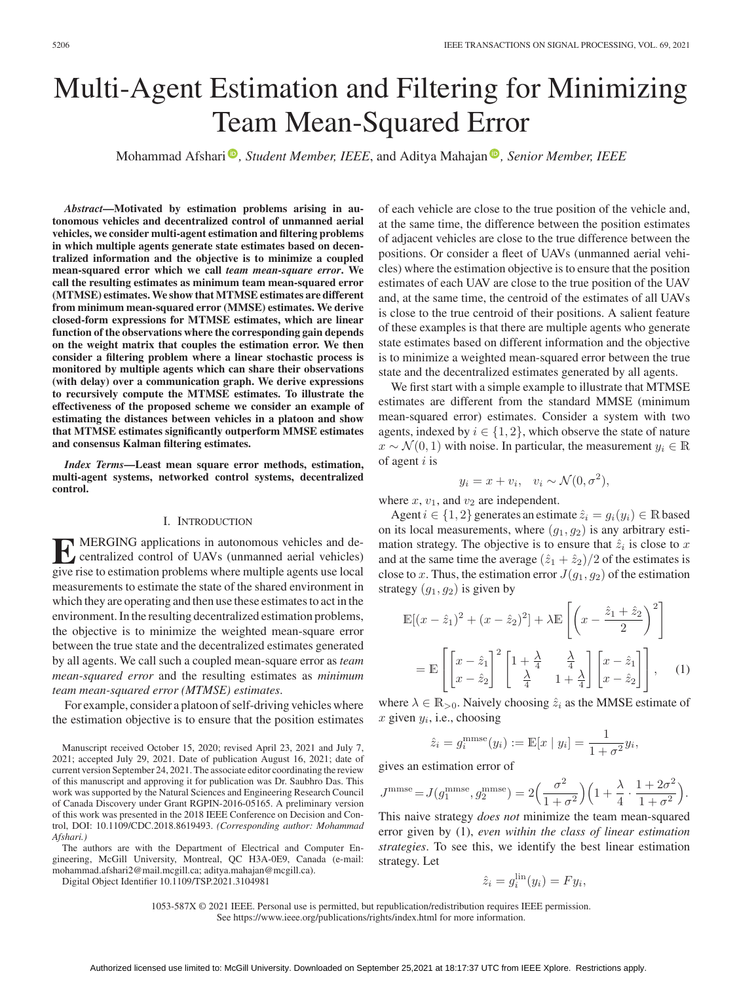# Multi-Agent Estimation and Filtering for Minimizing Team Mean-Squared Error

Mohammad Afshari<sup>®</sup>[,](https://orcid.org/0000-0001-8125-1191) *Student Member, IEEE*, and Aditya Mahajan<sup>®</sup>, *Senior Member, IEEE* 

*Abstract***—Motivated by estimation problems arising in autonomous vehicles and decentralized control of unmanned aerial vehicles, we consider multi-agent estimation and filtering problems in which multiple agents generate state estimates based on decentralized information and the objective is to minimize a coupled mean-squared error which we call** *team mean-square error***. We call the resulting estimates as minimum team mean-squared error (MTMSE) estimates.We show that MTMSE estimates are different from minimum mean-squared error (MMSE) estimates. We derive closed-form expressions for MTMSE estimates, which are linear function of the observations where the corresponding gain depends on the weight matrix that couples the estimation error. We then consider a filtering problem where a linear stochastic process is monitored by multiple agents which can share their observations (with delay) over a communication graph. We derive expressions to recursively compute the MTMSE estimates. To illustrate the effectiveness of the proposed scheme we consider an example of estimating the distances between vehicles in a platoon and show that MTMSE estimates significantly outperform MMSE estimates and consensus Kalman filtering estimates.**

*Index Terms***—Least mean square error methods, estimation, multi-agent systems, networked control systems, decentralized control.**

#### I. INTRODUCTION

**EXECUSE APPLICATION** applications in autonomous vehicles and decentralized control of UAVs (unmanned aerial vehicles) give rise to estimation problems where multiple agents use local measurements to estimate the state of the shared environment in which they are operating and then use these estimates to act in the environment. In the resulting decentralized estimation problems, the objective is to minimize the weighted mean-square error between the true state and the decentralized estimates generated by all agents. We call such a coupled mean-square error as *team mean-squared error* and the resulting estimates as *minimum team mean-squared error (MTMSE) estimates*.

For example, consider a platoon of self-driving vehicles where the estimation objective is to ensure that the position estimates

The authors are with the Department of Electrical and Computer Engineering, McGill University, Montreal, QC H3A-0E9, Canada (e-mail: [mohammad.afshari2@mail.mcgill.ca;](mailto:mohammad.afshari2@mail.mcgill.ca) [aditya.mahajan@mcgill.ca\)](mailto:aditya.mahajan@mcgill.ca).

Digital Object Identifier 10.1109/TSP.2021.3104981

of each vehicle are close to the true position of the vehicle and, at the same time, the difference between the position estimates of adjacent vehicles are close to the true difference between the positions. Or consider a fleet of UAVs (unmanned aerial vehicles) where the estimation objective is to ensure that the position estimates of each UAV are close to the true position of the UAV and, at the same time, the centroid of the estimates of all UAVs is close to the true centroid of their positions. A salient feature of these examples is that there are multiple agents who generate state estimates based on different information and the objective is to minimize a weighted mean-squared error between the true state and the decentralized estimates generated by all agents.

We first start with a simple example to illustrate that MTMSE estimates are different from the standard MMSE (minimum mean-squared error) estimates. Consider a system with two agents, indexed by  $i \in \{1, 2\}$ , which observe the state of nature  $x \sim \mathcal{N}(0, 1)$  with noise. In particular, the measurement  $y_i \in \mathbb{R}$ of agent  $i$  is

$$
y_i = x + v_i, \quad v_i \sim \mathcal{N}(0, \sigma^2),
$$

where  $x, v_1$ , and  $v_2$  are independent.

Agent  $i \in \{1, 2\}$  generates an estimate  $\hat{z}_i = g_i(y_i) \in \mathbb{R}$  based on its local measurements, where  $(g_1, g_2)$  is any arbitrary estimation strategy. The objective is to ensure that  $\hat{z}_i$  is close to x and at the same time the average  $(\hat{z}_1 + \hat{z}_2)/2$  of the estimates is close to x. Thus, the estimation error  $J(g_1, g_2)$  of the estimation strategy  $(g_1, g_2)$  is given by

$$
\mathbb{E}[(x-\hat{z}_1)^2 + (x-\hat{z}_2)^2] + \lambda \mathbb{E}\left[\left(x-\frac{\hat{z}_1+\hat{z}_2}{2}\right)^2\right]
$$

$$
= \mathbb{E}\left[\left[x-\hat{z}_1\atop x-\hat{z}_2\right]^2 \left[1+\frac{\lambda}{4} - \frac{\lambda}{4} \atop 1+\frac{\lambda}{4}\right] \left[x-\hat{z}_1\atop x-\hat{z}_2\right]\right], \quad (1)
$$

where  $\lambda \in \mathbb{R}_{>0}$ . Naively choosing  $\hat{z}_i$  as the MMSE estimate of  $x$  given  $y_i$ , i.e., choosing

$$
\hat{z}_i = g_i^{\text{mmse}}(y_i) := \mathbb{E}[x \mid y_i] = \frac{1}{1 + \sigma^2} y_i,
$$
  
gives an estimation error of

$$
J^{\text{mmse}} = J(g_1^{\text{mmse}}, g_2^{\text{mmse}}) = 2\left(\frac{\sigma^2}{1+\sigma^2}\right)\left(1+\frac{\lambda}{4}\cdot\frac{1+2\sigma^2}{1+\sigma^2}\right).
$$

This naive strategy *does not* minimize the team mean-squared error given by (1), *even within the class of linear estimation strategies*. To see this, we identify the best linear estimation strategy. Let

$$
\hat{z}_i = g_i^{\text{lin}}(y_i) = F y_i,
$$

1053-587X © 2021 IEEE. Personal use is permitted, but republication/redistribution requires IEEE permission. See https://www.ieee.org/publications/rights/index.html for more information.

Manuscript received October 15, 2020; revised April 23, 2021 and July 7, 2021; accepted July 29, 2021. Date of publication August 16, 2021; date of current version September 24, 2021. The associate editor coordinating the review of this manuscript and approving it for publication was Dr. Saubhro Das. This work was supported by the Natural Sciences and Engineering Research Council of Canada Discovery under Grant RGPIN-2016-05165. A preliminary version of this work was presented in the 2018 IEEE Conference on Decision and Control, DOI: 10.1109/CDC.2018.8619493. *(Corresponding author: Mohammad Afshari.)*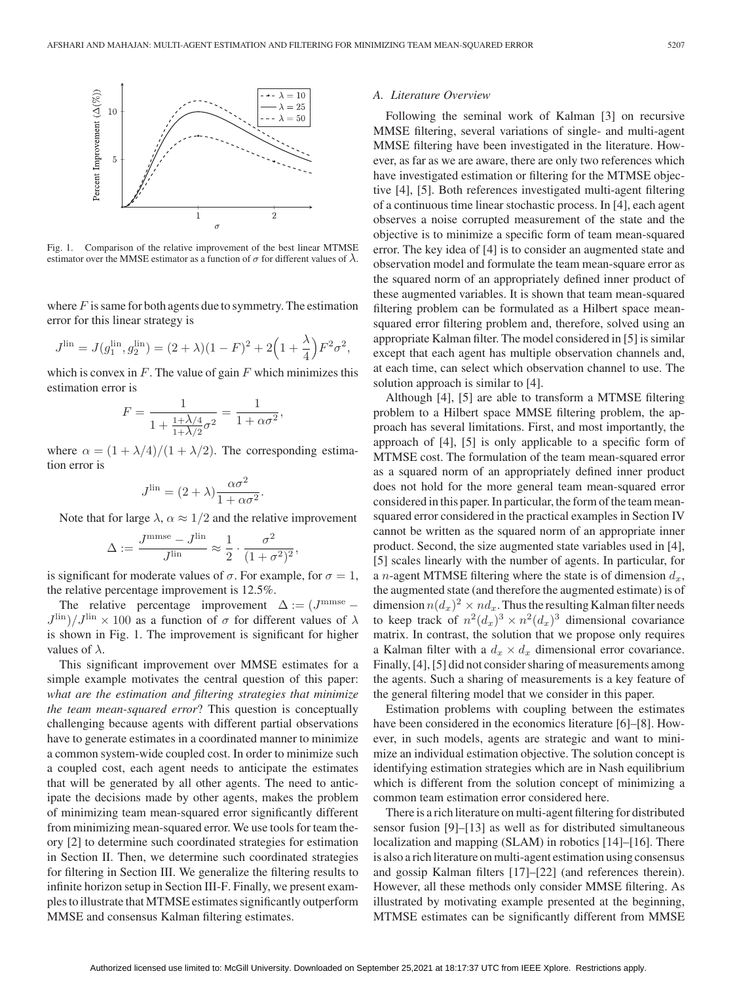

Fig. 1. Comparison of the relative improvement of the best linear MTMSE estimator over the MMSE estimator as a function of  $\sigma$  for different values of  $\lambda$ .

where  $F$  is same for both agents due to symmetry. The estimation error for this linear strategy is

$$
J^{\text{lin}} = J(g_1^{\text{lin}}, g_2^{\text{lin}}) = (2 + \lambda)(1 - F)^2 + 2\left(1 + \frac{\lambda}{4}\right)F^2\sigma^2,
$$

which is convex in  $F$ . The value of gain  $F$  which minimizes this estimation error is

$$
F = \frac{1}{1 + \frac{1 + \lambda/4}{1 + \lambda/2}\sigma^2} = \frac{1}{1 + \alpha\sigma^2},
$$

where  $\alpha = (1 + \lambda/4)/(1 + \lambda/2)$ . The corresponding estimation error is

$$
J^{\text{lin}} = (2 + \lambda) \frac{\alpha \sigma^2}{1 + \alpha \sigma^2}.
$$

Note that for large  $\lambda$ ,  $\alpha \approx 1/2$  and the relative improvement

$$
\Delta := \frac{J^{\text{mmse}} - J^{\text{lin}}}{J^{\text{lin}}} \approx \frac{1}{2} \cdot \frac{\sigma^2}{(1 + \sigma^2)^2},
$$

is significant for moderate values of  $\sigma$ . For example, for  $\sigma = 1$ , the relative percentage improvement is 12.5%.

The relative percentage improvement  $\Delta := (J^{\text{mmse}} J^{\text{lin}}$ )/ $J^{\text{lin}} \times 100$  as a function of  $\sigma$  for different values of  $\lambda$ is shown in Fig. 1. The improvement is significant for higher values of  $\lambda$ .

This significant improvement over MMSE estimates for a simple example motivates the central question of this paper: *what are the estimation and filtering strategies that minimize the team mean-squared error*? This question is conceptually challenging because agents with different partial observations have to generate estimates in a coordinated manner to minimize a common system-wide coupled cost. In order to minimize such a coupled cost, each agent needs to anticipate the estimates that will be generated by all other agents. The need to anticipate the decisions made by other agents, makes the problem of minimizing team mean-squared error significantly different from minimizing mean-squared error. We use tools for team theory [2] to determine such coordinated strategies for estimation in Section II. Then, we determine such coordinated strategies for filtering in Section III. We generalize the filtering results to infinite horizon setup in Section III-F. Finally, we present examples to illustrate that MTMSE estimates significantly outperform MMSE and consensus Kalman filtering estimates.

#### *A. Literature Overview*

Following the seminal work of Kalman [3] on recursive MMSE filtering, several variations of single- and multi-agent MMSE filtering have been investigated in the literature. However, as far as we are aware, there are only two references which have investigated estimation or filtering for the MTMSE objective [4], [5]. Both references investigated multi-agent filtering of a continuous time linear stochastic process. In [4], each agent observes a noise corrupted measurement of the state and the objective is to minimize a specific form of team mean-squared error. The key idea of [4] is to consider an augmented state and observation model and formulate the team mean-square error as the squared norm of an appropriately defined inner product of these augmented variables. It is shown that team mean-squared filtering problem can be formulated as a Hilbert space meansquared error filtering problem and, therefore, solved using an appropriate Kalman filter. The model considered in [5] is similar except that each agent has multiple observation channels and, at each time, can select which observation channel to use. The solution approach is similar to [4].

Although [4], [5] are able to transform a MTMSE filtering problem to a Hilbert space MMSE filtering problem, the approach has several limitations. First, and most importantly, the approach of [4], [5] is only applicable to a specific form of MTMSE cost. The formulation of the team mean-squared error as a squared norm of an appropriately defined inner product does not hold for the more general team mean-squared error considered in this paper. In particular, the form of the team meansquared error considered in the practical examples in Section IV cannot be written as the squared norm of an appropriate inner product. Second, the size augmented state variables used in [4], [5] scales linearly with the number of agents. In particular, for a *n*-agent MTMSE filtering where the state is of dimension  $d_x$ , the augmented state (and therefore the augmented estimate) is of dimension  $n(d_x)^2 \times nd_x$ . Thus the resulting Kalman filter needs to keep track of  $n^2(d_x)^3 \times n^2(d_x)^3$  dimensional covariance matrix. In contrast, the solution that we propose only requires a Kalman filter with a  $d_x \times d_x$  dimensional error covariance. Finally, [4], [5] did not consider sharing of measurements among the agents. Such a sharing of measurements is a key feature of the general filtering model that we consider in this paper.

Estimation problems with coupling between the estimates have been considered in the economics literature [6]–[8]. However, in such models, agents are strategic and want to minimize an individual estimation objective. The solution concept is identifying estimation strategies which are in Nash equilibrium which is different from the solution concept of minimizing a common team estimation error considered here.

There is a rich literature on multi-agent filtering for distributed sensor fusion [9]–[13] as well as for distributed simultaneous localization and mapping (SLAM) in robotics [14]–[16]. There is also a rich literature on multi-agent estimation using consensus and gossip Kalman filters [17]–[22] (and references therein). However, all these methods only consider MMSE filtering. As illustrated by motivating example presented at the beginning, MTMSE estimates can be significantly different from MMSE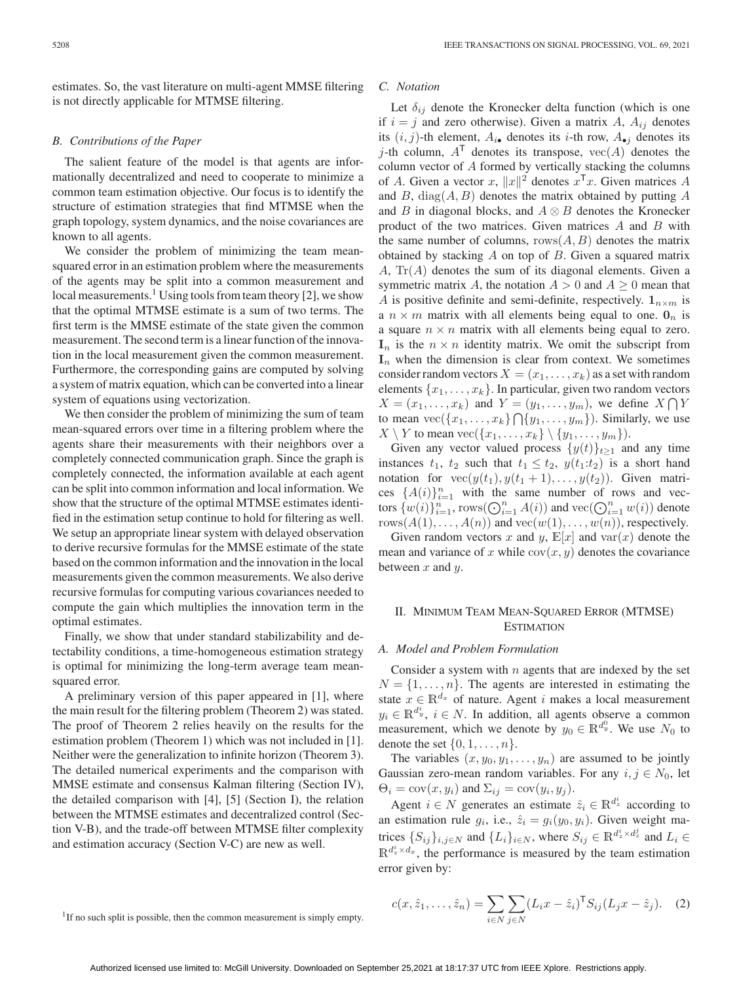estimates. So, the vast literature on multi-agent MMSE filtering is not directly applicable for MTMSE filtering.

# *B. Contributions of the Paper*

The salient feature of the model is that agents are informationally decentralized and need to cooperate to minimize a common team estimation objective. Our focus is to identify the structure of estimation strategies that find MTMSE when the graph topology, system dynamics, and the noise covariances are known to all agents.

We consider the problem of minimizing the team meansquared error in an estimation problem where the measurements of the agents may be split into a common measurement and local measurements.<sup>1</sup> Using tools from team theory [2], we show that the optimal MTMSE estimate is a sum of two terms. The first term is the MMSE estimate of the state given the common measurement. The second term is a linear function of the innovation in the local measurement given the common measurement. Furthermore, the corresponding gains are computed by solving a system of matrix equation, which can be converted into a linear system of equations using vectorization.

We then consider the problem of minimizing the sum of team mean-squared errors over time in a filtering problem where the agents share their measurements with their neighbors over a completely connected communication graph. Since the graph is completely connected, the information available at each agent can be split into common information and local information. We show that the structure of the optimal MTMSE estimates identified in the estimation setup continue to hold for filtering as well. We setup an appropriate linear system with delayed observation to derive recursive formulas for the MMSE estimate of the state based on the common information and the innovation in the local measurements given the common measurements. We also derive recursive formulas for computing various covariances needed to compute the gain which multiplies the innovation term in the optimal estimates.

Finally, we show that under standard stabilizability and detectability conditions, a time-homogeneous estimation strategy is optimal for minimizing the long-term average team meansquared error.

A preliminary version of this paper appeared in [1], where the main result for the filtering problem (Theorem 2) was stated. The proof of Theorem 2 relies heavily on the results for the estimation problem (Theorem 1) which was not included in [1]. Neither were the generalization to infinite horizon (Theorem 3). The detailed numerical experiments and the comparison with MMSE estimate and consensus Kalman filtering (Section IV), the detailed comparison with [4], [5] (Section I), the relation between the MTMSE estimates and decentralized control (Section V-B), and the trade-off between MTMSE filter complexity and estimation accuracy (Section V-C) are new as well.

#### *C. Notation*

Let  $\delta_{ij}$  denote the Kronecker delta function (which is one if  $i = j$  and zero otherwise). Given a matrix A,  $A_{ij}$  denotes its  $(i, j)$ -th element,  $A_{i\bullet}$  denotes its *i*-th row,  $A_{\bullet j}$  denotes its j-th column,  $A<sup>T</sup>$  denotes its transpose,  $vec(A)$  denotes the column vector of A formed by vertically stacking the columns of A. Given a vector x,  $||x||^2$  denotes  $x^Tx$ . Given matrices A and  $B$ , diag $(A, B)$  denotes the matrix obtained by putting  $A$ and B in diagonal blocks, and  $A \otimes B$  denotes the Kronecker product of the two matrices. Given matrices A and B with the same number of columns, rows $(A, B)$  denotes the matrix obtained by stacking A on top of B. Given a squared matrix  $A$ ,  $\text{Tr}(A)$  denotes the sum of its diagonal elements. Given a symmetric matrix A, the notation  $A > 0$  and  $A \ge 0$  mean that A is positive definite and semi-definite, respectively.  $1_{n \times m}$  is a  $n \times m$  matrix with all elements being equal to one.  $\mathbf{0}_n$  is a square  $n \times n$  matrix with all elements being equal to zero.  $\mathbf{I}_n$  is the  $n \times n$  identity matrix. We omit the subscript from  $\mathbf{I}_n$  when the dimension is clear from context. We sometimes consider random vectors  $X = (x_1, \ldots, x_k)$  as a set with random elements  $\{x_1, \ldots, x_k\}$ . In particular, given two random vectors  $X = (x_1, \ldots, x_k)$  and  $Y = (y_1, \ldots, y_m)$ , we define  $X \cap Y$ to mean  $\text{vec}(\{x_1,\ldots,x_k\}\bigcap \{y_1,\ldots,y_m\})$ . Similarly, we use  $X \setminus Y$  to mean vec $({x_1, \ldots, x_k}\setminus {y_1, \ldots, y_m}).$ 

Given any vector valued process  $\{y(t)\}_{t>1}$  and any time instances  $t_1$ ,  $t_2$  such that  $t_1 \leq t_2$ ,  $y(t_1:t_2)$  is a short hand notation for  $\text{vec}(y(t_1), y(t_1 + 1), \ldots, y(t_2))$ . Given matrices  $\{A(i)\}_{i=1}^n$  with the same number of rows and vectors  $\{w(i)\}_{i=1}^n$ , rows $(\bigodot_{i=1}^n A(i))$  and  $\text{vec}(\bigodot_{i=1}^n w(i))$  denote rows $(A(1),...,A(n))$  and  $vec(w(1),...,w(n))$ , respectively.

Given random vectors x and y,  $\mathbb{E}[x]$  and  $\text{var}(x)$  denote the mean and variance of x while  $cov(x, y)$  denotes the covariance between  $x$  and  $y$ .

## II. MINIMUM TEAM MEAN-SQUARED ERROR (MTMSE) **ESTIMATION**

## *A. Model and Problem Formulation*

Consider a system with  $n$  agents that are indexed by the set  $N = \{1, \ldots, n\}$ . The agents are interested in estimating the state  $x \in \mathbb{R}^{d_x}$  of nature. Agent i makes a local measurement  $y_i \in \mathbb{R}^{d_y^i}$ ,  $i \in N$ . In addition, all agents observe a common measurement, which we denote by  $y_0 \in \mathbb{R}^{d_y^0}$ . We use  $N_0$  to denote the set  $\{0, 1, \ldots, n\}$ .

The variables  $(x, y_0, y_1, \ldots, y_n)$  are assumed to be jointly Gaussian zero-mean random variables. For any  $i, j \in N_0$ , let  $\Theta_i = \text{cov}(x, y_i)$  and  $\Sigma_{ij} = \text{cov}(y_i, y_j)$ .

Agent  $i \in N$  generates an estimate  $\hat{z}_i \in \mathbb{R}^{d_z^i}$  according to an estimation rule  $g_i$ , i.e.,  $\hat{z}_i = g_i(y_0, y_i)$ . Given weight matrices  $\{S_{ij}\}_{i,j\in\mathbb{N}}$  and  $\{L_i\}_{i\in\mathbb{N}}$ , where  $S_{ij}\in\mathbb{R}^{d_z^i\times d_z^j}$  and  $L_i\in\mathbb{R}^{d_z^i\times d_z^j}$  $\mathbb{R}^{d_z^i \times d_x}$ , the performance is measured by the team estimation error given by:

$$
c(x, \hat{z}_1, \dots, \hat{z}_n) = \sum_{i \in N} \sum_{j \in N} (L_i x - \hat{z}_i)^{\mathsf{T}} S_{ij} (L_j x - \hat{z}_j).
$$
 (2)

 $1$ If no such split is possible, then the common measurement is simply empty.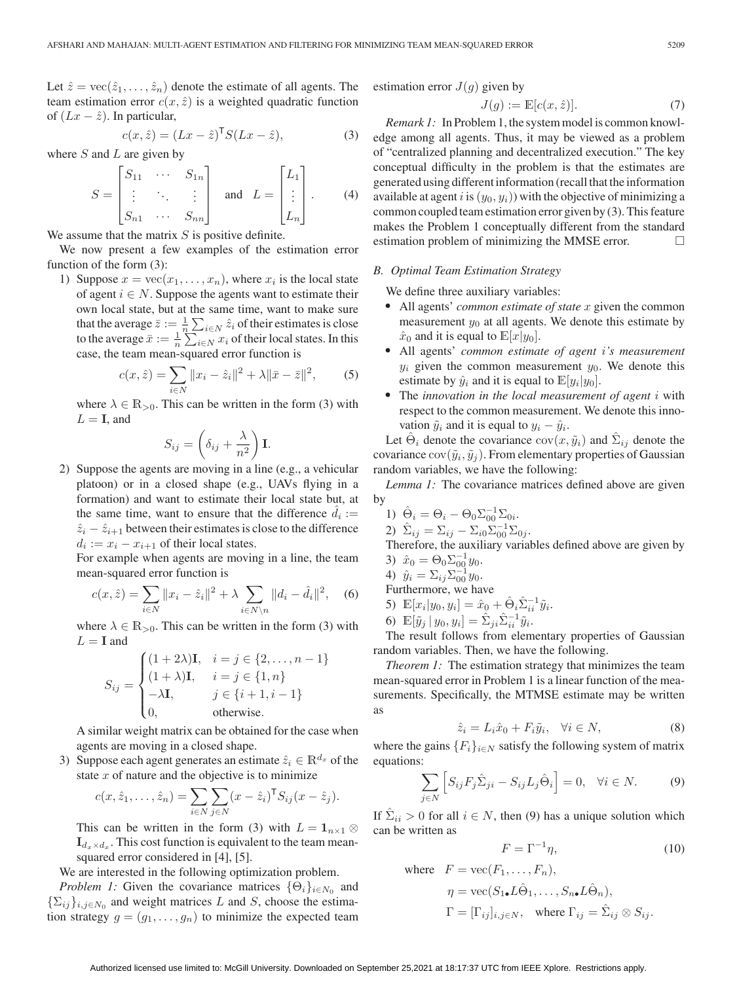Let  $\hat{z} = \text{vec}(\hat{z}_1, \dots, \hat{z}_n)$  denote the estimate of all agents. The team estimation error  $c(x, \hat{z})$  is a weighted quadratic function of  $(Lx - \hat{z})$ . In particular,

$$
c(x, \hat{z}) = (Lx - \hat{z})^{\mathsf{T}} S(Lx - \hat{z}), \tag{3}
$$

where  $S$  and  $L$  are given by

$$
S = \begin{bmatrix} S_{11} & \cdots & S_{1n} \\ \vdots & \ddots & \vdots \\ S_{n1} & \cdots & S_{nn} \end{bmatrix} \quad \text{and} \quad L = \begin{bmatrix} L_1 \\ \vdots \\ L_n \end{bmatrix} . \tag{4}
$$

We assume that the matrix  $S$  is positive definite.

We now present a few examples of the estimation error function of the form (3):

1) Suppose  $x = \text{vec}(x_1, \ldots, x_n)$ , where  $x_i$  is the local state of agent  $i \in N$ . Suppose the agents want to estimate their own local state, but at the same time, want to make sure that the average  $\bar{z} := \frac{1}{n} \sum_{i \in N} \hat{z}_i$  of their estimates is close to the average  $\bar{x} := \frac{1}{n} \sum_{i \in N} x_i$  of their local states. In this case, the team mean-squared error function is

$$
c(x, \hat{z}) = \sum_{i \in N} ||x_i - \hat{z}_i||^2 + \lambda ||\bar{x} - \bar{z}||^2, \qquad (5)
$$

where  $\lambda \in \mathbb{R}_{>0}$ . This can be written in the form (3) with  $L = I$ , and

$$
S_{ij} = \left(\delta_{ij} + \frac{\lambda}{n^2}\right) \mathbf{I}.
$$

2) Suppose the agents are moving in a line (e.g., a vehicular platoon) or in a closed shape (e.g., UAVs flying in a formation) and want to estimate their local state but, at the same time, want to ensure that the difference  $\hat{d}_i$  :=  $\hat{z}_i - \hat{z}_{i+1}$  between their estimates is close to the difference  $d_i := x_i - x_{i+1}$  of their local states.

For example when agents are moving in a line, the team mean-squared error function is

$$
c(x, \hat{z}) = \sum_{i \in N} ||x_i - \hat{z}_i||^2 + \lambda \sum_{i \in N \setminus n} ||d_i - \hat{d}_i||^2, \quad (6)
$$

where  $\lambda \in \mathbb{R}_{>0}$ . This can be written in the form (3) with  $L = I$  and

$$
S_{ij} = \begin{cases} (1+2\lambda)\mathbf{I}, & i = j \in \{2,\dots,n-1\} \\ (1+\lambda)\mathbf{I}, & i = j \in \{1,n\} \\ -\lambda\mathbf{I}, & j \in \{i+1,i-1\} \\ 0, & \text{otherwise.} \end{cases}
$$

A similar weight matrix can be obtained for the case when agents are moving in a closed shape.

3) Suppose each agent generates an estimate  $\hat{z}_i \in \mathbb{R}^{d_x}$  of the state  $x$  of nature and the objective is to minimize

$$
c(x, \hat{z}_1, \dots, \hat{z}_n) = \sum_{i \in N} \sum_{j \in N} (x - \hat{z}_i)^{\mathsf{T}} S_{ij} (x - \hat{z}_j).
$$

This can be written in the form (3) with  $L = \mathbf{1}_{n \times 1} \otimes$  $\mathbf{I}_{d_x \times d_x}$ . This cost function is equivalent to the team meansquared error considered in [4], [5].

We are interested in the following optimization problem.

*Problem 1:* Given the covariance matrices  $\{\Theta_i\}_{i \in N_0}$  and  $\{\sum_{i,j}\}_{i,j\in\mathbb{N}_0}$  and weight matrices L and S, choose the estimation strategy  $g = (g_1, \ldots, g_n)$  to minimize the expected team estimation error  $J(g)$  given by

$$
J(g) := \mathbb{E}[c(x,\hat{z})].\tag{7}
$$

*Remark 1:* In Problem 1, the system model is common knowledge among all agents. Thus, it may be viewed as a problem of "centralized planning and decentralized execution." The key conceptual difficulty in the problem is that the estimates are generated using different information (recall that the information available at agent i is  $(y_0, y_i)$  with the objective of minimizing a common coupled team estimation error given by (3). This feature makes the Problem 1 conceptually different from the standard estimation problem of minimizing the MMSE error.

## *B. Optimal Team Estimation Strategy*

We define three auxiliary variables:

- All agents' *common estimate of state* x given the common measurement  $y_0$  at all agents. We denote this estimate by  $\hat{x}_0$  and it is equal to  $\mathbb{E}[x|y_0]$ .<br>• All agents' *common estimate of agent i's measurement*
- $y_i$  given the common measurement  $y_0$ . We denote this estimate by  $\hat{y}_i$  and it is equal to  $\mathbb{E}[y_i|y_0]$ .
- The *innovation in the local measurement of agent* i with respect to the common measurement. We denote this innovation  $\tilde{y}_i$  and it is equal to  $y_i - \hat{y}_i$ .

Let  $\Theta_i$  denote the covariance  $cov(x, \tilde{y}_i)$  and  $\Sigma_{ij}$  denote the covariance  $cov(\tilde{y}_i, \tilde{y}_j)$ . From elementary properties of Gaussian random variables, we have the following:

*Lemma 1:* The covariance matrices defined above are given by

- 1)  $\hat{\Theta}_i = \Theta_i \Theta_0 \Sigma_{00}^{-1} \Sigma_{0i}.$
- 2)  $\hat{\Sigma}_{ij} = \Sigma_{ij} \Sigma_{i0} \Sigma_{00}^{-1} \Sigma_{0j}.$
- Therefore, the auxiliary variables defined above are given by 3)  $\hat{x}_0 = \Theta_0 \Sigma_{00}^{-1} y_0.$
- 4)  $\hat{y}_i = \sum_{ij} \sum_{00}^{-1} y_0.$

Furthermore, we have

- 5)  $\mathbb{E}[x_i|y_0, y_i] = \hat{x}_0 + \hat{\Theta}_i \hat{\Sigma}_{ii}^{-1} \tilde{y}_i.$
- 6)  $\mathbb{E}[\tilde{y}_j | y_0, y_i] = \hat{\Sigma}_{ji} \hat{\Sigma}_{ii}^{-1} \tilde{y}_i.$

The result follows from elementary properties of Gaussian random variables. Then, we have the following.

*Theorem 1:* The estimation strategy that minimizes the team mean-squared error in Problem 1 is a linear function of the measurements. Specifically, the MTMSE estimate may be written as

$$
\hat{z}_i = L_i \hat{x}_0 + F_i \tilde{y}_i, \quad \forall i \in N,
$$
\n(8)

where the gains  ${F_i}_{i \in N}$  satisfy the following system of matrix equations:

$$
\sum_{j \in N} \left[ S_{ij} F_j \hat{\Sigma}_{ji} - S_{ij} L_j \hat{\Theta}_i \right] = 0, \quad \forall i \in N. \tag{9}
$$

If  $\sum_{i}$  > 0 for all  $i \in N$ , then (9) has a unique solution which can be written as

$$
F = \Gamma^{-1} \eta,\tag{10}
$$

where 
$$
F = \text{vec}(F_1, ..., F_n)
$$
,  
\n
$$
\eta = \text{vec}(S_{1\bullet}L\hat{\Theta}_1, ..., S_{n\bullet}L\hat{\Theta}_n),
$$
\n
$$
\Gamma = [\Gamma_{ij}]_{i,j \in N}, \text{ where } \Gamma_{ij} = \hat{\Sigma}_{ij} \otimes S_{ij}.
$$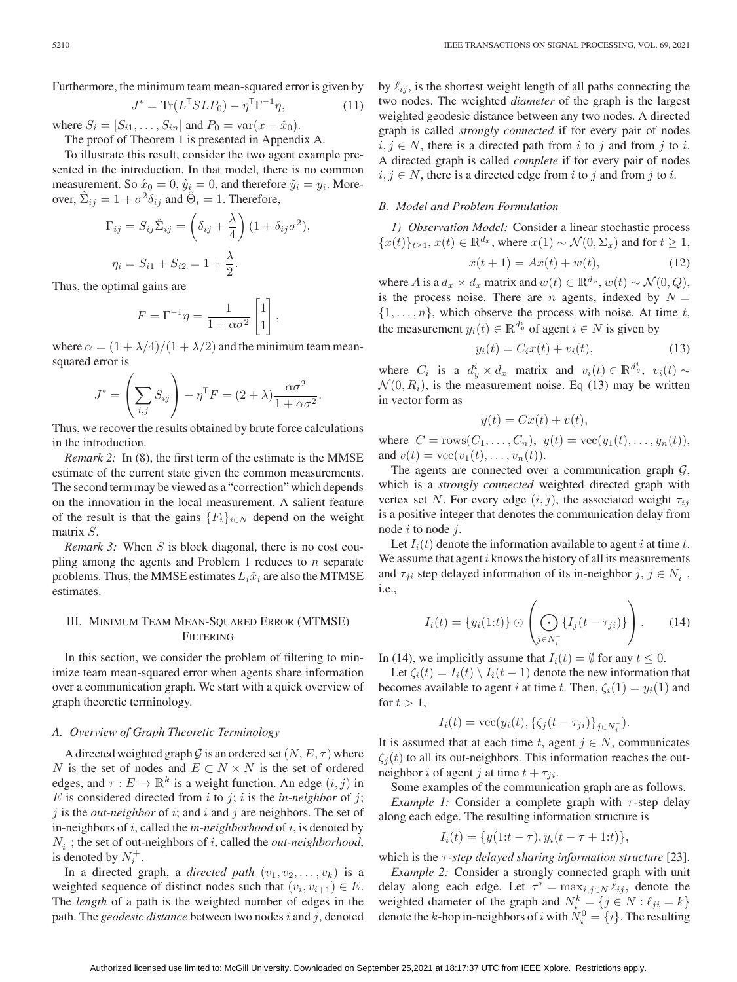Furthermore, the minimum team mean-squared error is given by

$$
J^* = \text{Tr}(L^{\mathsf{T}} S L P_0) - \eta^{\mathsf{T}} \Gamma^{-1} \eta,\tag{11}
$$

where  $S_i = [S_{i1}, \ldots, S_{in}]$  and  $P_0 = \text{var}(x - \hat{x}_0)$ .

The proof of Theorem 1 is presented in Appendix A.

To illustrate this result, consider the two agent example presented in the introduction. In that model, there is no common measurement. So  $\hat{x}_0 = 0$ ,  $\hat{y}_i = 0$ , and therefore  $\tilde{y}_i = y_i$ . Moreover,  $\Sigma_{ij} = 1 + \sigma^2 \delta_{ij}$  and  $\Theta_i = 1$ . Therefore,

$$
\Gamma_{ij} = S_{ij}\hat{\Sigma}_{ij} = \left(\delta_{ij} + \frac{\lambda}{4}\right)(1 + \delta_{ij}\sigma^2),
$$
  

$$
\eta_i = S_{i1} + S_{i2} = 1 + \frac{\lambda}{2}.
$$

Thus, the optimal gains are

$$
F = \Gamma^{-1} \eta = \frac{1}{1 + \alpha \sigma^2} \begin{bmatrix} 1 \\ 1 \end{bmatrix},
$$

where  $\alpha = (1 + \lambda/4)/(1 + \lambda/2)$  and the minimum team meansquared error is

$$
J^* = \left(\sum_{i,j} S_{ij}\right) - \eta^{\mathsf{T}} F = (2 + \lambda) \frac{\alpha \sigma^2}{1 + \alpha \sigma^2}.
$$

Thus, we recover the results obtained by brute force calculations in the introduction.

*Remark 2:* In (8), the first term of the estimate is the MMSE estimate of the current state given the common measurements. The second term may be viewed as a "correction" which depends on the innovation in the local measurement. A salient feature of the result is that the gains  ${F_i}_{i \in N}$  depend on the weight matrix S.

*Remark 3:* When S is block diagonal, there is no cost coupling among the agents and Problem 1 reduces to  $n$  separate problems. Thus, the MMSE estimates  $L_i\hat{x}_i$  are also the MTMSE estimates.

# III. MINIMUM TEAM MEAN-SQUARED ERROR (MTMSE) FILTERING

In this section, we consider the problem of filtering to minimize team mean-squared error when agents share information over a communication graph. We start with a quick overview of graph theoretic terminology.

#### *A. Overview of Graph Theoretic Terminology*

A directed weighted graph G is an ordered set  $(N, E, \tau)$  where N is the set of nodes and  $E \subset N \times N$  is the set of ordered edges, and  $\tau : E \to \mathbb{R}^k$  is a weight function. An edge  $(i, j)$  in E is considered directed from  $i$  to  $j$ ;  $i$  is the *in-neighbor* of  $j$ ;  $j$  is the *out-neighbor* of  $i$ ; and  $i$  and  $j$  are neighbors. The set of in-neighbors of i, called the *in-neighborhood* of i, is denoted by N<sup>−</sup> <sup>i</sup> ; the set of out-neighbors of i, called the *out-neighborhood*, is denoted by  $N_i^+$ .

In a directed graph, a *directed path*  $(v_1, v_2, \ldots, v_k)$  is a weighted sequence of distinct nodes such that  $(v_i, v_{i+1}) \in E$ . The *length* of a path is the weighted number of edges in the path. The *geodesic distance* between two nodes i and j, denoted

by  $\ell_{ij}$ , is the shortest weight length of all paths connecting the two nodes. The weighted *diameter* of the graph is the largest weighted geodesic distance between any two nodes. A directed graph is called *strongly connected* if for every pair of nodes  $i, j \in N$ , there is a directed path from i to j and from j to i. A directed graph is called *complete* if for every pair of nodes  $i, j \in N$ , there is a directed edge from i to j and from j to i.

## *B. Model and Problem Formulation*

*1) Observation Model:* Consider a linear stochastic process  ${x(t)}_{t\geq 1}$ ,  $x(t) \in \mathbb{R}^{d_x}$ , where  $x(1) \sim \mathcal{N}(0, \Sigma_x)$  and for  $t \geq 1$ ,

$$
x(t+1) = Ax(t) + w(t),
$$
 (12)

where A is a  $d_x \times d_x$  matrix and  $w(t) \in \mathbb{R}^{d_x}$ ,  $w(t) \sim \mathcal{N}(0, Q)$ , is the process noise. There are n agents, indexed by  $N =$  $\{1,\ldots,n\}$ , which observe the process with noise. At time t, the measurement  $y_i(t) \in \mathbb{R}^{d_y^i}$  of agent  $i \in N$  is given by

$$
y_i(t) = C_i x(t) + v_i(t),
$$
 (13)

where  $C_i$  is a  $d_y^i \times d_x$  matrix and  $v_i(t) \in \mathbb{R}^{d_y^i}$ ,  $v_i(t) \sim$  $\mathcal{N}(0, R_i)$ , is the measurement noise. Eq (13) may be written in vector form as

$$
y(t) = Cx(t) + v(t),
$$

where  $C = \text{rows}(C_1, ..., C_n)$ ,  $y(t) = \text{vec}(y_1(t), ..., y_n(t))$ , and  $v(t) = \text{vec}(v_1(t),...,v_n(t)).$ 

The agents are connected over a communication graph  $G$ , which is a *strongly connected* weighted directed graph with vertex set N. For every edge  $(i, j)$ , the associated weight  $\tau_{ij}$ is a positive integer that denotes the communication delay from node  $i$  to node  $j$ .

Let  $I_i(t)$  denote the information available to agent i at time t. We assume that agent  $i$  knows the history of all its measurements and  $\tau_{ji}$  step delayed information of its in-neighbor  $j, j \in N_i^-$ , i.e.,

$$
I_i(t) = \{y_i(1:t)\} \odot \left(\bigodot_{j \in N_i^-} \{I_j(t-\tau_{ji})\}\right). \qquad (14)
$$

In (14), we implicitly assume that  $I_i(t) = \emptyset$  for any  $t \leq 0$ .

Let  $\zeta_i(t) = I_i(t) \setminus I_i(t-1)$  denote the new information that becomes available to agent i at time t. Then,  $\zeta_i(1) = y_i(1)$  and for  $t > 1$ ,

$$
I_i(t) = \text{vec}(y_i(t), \{\zeta_j(t - \tau_{ji})\}_{j \in N_i^-}).
$$

It is assumed that at each time t, agent  $j \in N$ , communicates  $\zeta_i(t)$  to all its out-neighbors. This information reaches the outneighbor i of agent j at time  $t + \tau_{ii}$ .

Some examples of the communication graph are as follows.

*Example 1:* Consider a complete graph with  $\tau$ -step delay along each edge. The resulting information structure is

$$
I_i(t) = \{y(1:t-\tau), y_i(t-\tau+1:t)\},\
$$

which is the τ *-step delayed sharing information structure* [23]. *Example 2:* Consider a strongly connected graph with unit delay along each edge. Let  $\tau^* = \max_{i,j \in N} \ell_{ij}$ , denote the weighted diameter of the graph and  $N_i^k = \{j \in N : \ell_{ji} = k\}$ denote the *k*-hop in-neighbors of *i* with  $N_i^0 = \{i\}$ . The resulting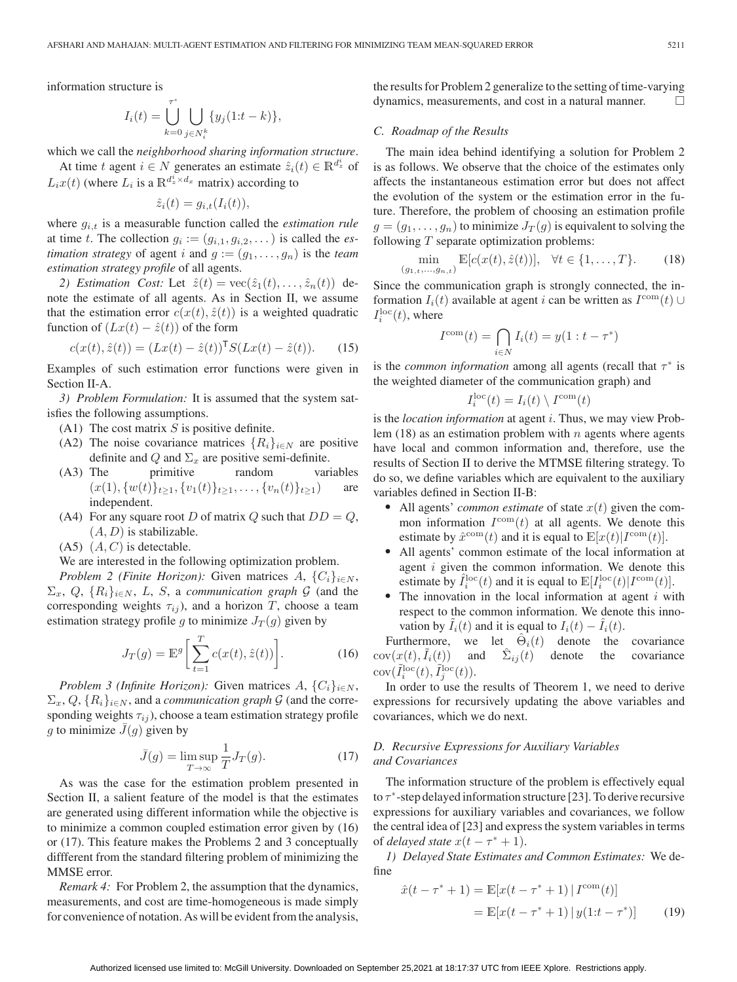information structure is

$$
I_i(t) = \bigcup_{k=0}^{\tau^*} \bigcup_{j \in N_i^k} \{ y_j(1:t-k) \},\,
$$

which we call the *neighborhood sharing information structure*.

At time t agent  $i \in N$  generates an estimate  $\hat{z}_i(t) \in \mathbb{R}^{d_z^i}$  of  $L_i x(t)$  (where  $L_i$  is a  $\mathbb{R}^{d_z^i \times d_x}$  matrix) according to

$$
\hat{z}_i(t) = g_{i,t}(I_i(t)),
$$

where  $g_{i,t}$  is a measurable function called the *estimation rule* at time t. The collection  $g_i := (g_{i,1}, g_{i,2}, \dots)$  is called the *estimation strategy* of agent i and  $g := (g_1, \ldots, g_n)$  is the *team estimation strategy profile* of all agents.

2) Estimation Cost: Let  $\hat{z}(t) = \text{vec}(\hat{z}_1(t),...,\hat{z}_n(t))$  denote the estimate of all agents. As in Section II, we assume that the estimation error  $c(x(t), \hat{z}(t))$  is a weighted quadratic function of  $(Lx(t) - \hat{z}(t))$  of the form

$$
c(x(t), \hat{z}(t)) = (Lx(t) - \hat{z}(t))^{\mathsf{T}} S(Lx(t) - \hat{z}(t)).
$$
 (15)

Examples of such estimation error functions were given in Section II-A.

*3) Problem Formulation:* It is assumed that the system satisfies the following assumptions.

- (A1) The cost matrix  $S$  is positive definite.
- (A2) The noise covariance matrices  $\{R_i\}_{i\in\mathbb{N}}$  are positive definite and Q and  $\Sigma_x$  are positive semi-definite.
- (A3) The primitive random variables  $(x(1), \{w(t)\}_{t\geq 1}, \{v_1(t)\}_{t\geq 1}, \ldots, \{v_n(t)\}_{t\geq 1})$  are independent.
- (A4) For any square root D of matrix Q such that  $DD = Q$ ,  $(A, D)$  is stabilizable.
- $(A, C)$  is detectable.

We are interested in the following optimization problem.

*Problem 2 (Finite Horizon):* Given matrices  $A, \{C_i\}_{i \in N}$ ,  $\Sigma_x$ , Q,  $\{R_i\}_{i\in\mathbb{N}}$ , L, S, a *communication graph* G (and the corresponding weights  $\tau_{ij}$ ), and a horizon T, choose a team estimation strategy profile g to minimize  $J_T(g)$  given by

$$
J_T(g) = \mathbb{E}^g \bigg[ \sum_{t=1}^T c(x(t), \hat{z}(t)) \bigg]. \tag{16}
$$

*Problem 3 (Infinite Horizon):* Given matrices  $A, \{C_i\}_{i \in N}$ ,  $\Sigma_x, Q, \{R_i\}_{i \in N}$ , and a *communication graph* G (and the corresponding weights  $\tau_{ij}$ ), choose a team estimation strategy profile g to minimize  $\bar{J}(g)$  given by

$$
\bar{J}(g) = \limsup_{T \to \infty} \frac{1}{T} J_T(g). \tag{17}
$$

As was the case for the estimation problem presented in Section II, a salient feature of the model is that the estimates are generated using different information while the objective is to minimize a common coupled estimation error given by (16) or (17). This feature makes the Problems 2 and 3 conceptually diffferent from the standard filtering problem of minimizing the MMSE error.

*Remark 4:* For Problem 2, the assumption that the dynamics, measurements, and cost are time-homogeneous is made simply for convenience of notation. As will be evident from the analysis,

the results for Problem 2 generalize to the setting of time-varying dynamics, measurements, and cost in a natural manner.  $\Box$ 

#### *C. Roadmap of the Results*

 $(g$ 

The main idea behind identifying a solution for Problem 2 is as follows. We observe that the choice of the estimates only affects the instantaneous estimation error but does not affect the evolution of the system or the estimation error in the future. Therefore, the problem of choosing an estimation profile  $g = (g_1, \ldots, g_n)$  to minimize  $J_T(g)$  is equivalent to solving the following  $T$  separate optimization problems:

$$
\min_{(1, t, \dots, g_{n, t})} \mathbb{E}[c(x(t), \hat{z}(t))], \quad \forall t \in \{1, \dots, T\}.
$$
 (18)

Since the communication graph is strongly connected, the information  $I_i(t)$  available at agent i can be written as  $I^{\text{com}}(t) \cup$  $I_i^{\text{loc}}(t)$ , where

$$
I^{\text{com}}(t) = \bigcap_{i \in N} I_i(t) = y(1 : t - \tau^*)
$$

is the *common information* among all agents (recall that  $\tau^*$  is the weighted diameter of the communication graph) and

$$
I_i^{\rm loc}(t) = I_i(t) \setminus I^{\rm com}(t)
$$

is the *location information* at agent i. Thus, we may view Problem  $(18)$  as an estimation problem with n agents where agents have local and common information and, therefore, use the results of Section II to derive the MTMSE filtering strategy. To do so, we define variables which are equivalent to the auxiliary variables defined in Section II-B:

- $\blacksquare$  All agents' *common estimate* of state  $x(t)$  given the common information  $I^{\text{com}}(t)$  at all agents. We denote this estimate by  $\hat{x}^{\text{com}}(t)$  and it is equal to  $\mathbb{E}[x(t)|I^{\text{com}}(t)].$
- All agents' common estimate of the local information at agent  $i$  given the common information. We denote this estimate by  $\hat{I}_i^{\text{loc}}(t)$  and it is equal to  $\mathbb{E}[I_i^{\text{loc}}(t)|I^{\text{com}}(t)]$ .<br>The innovation in the local information at agent *i* wi
- The innovation in the local information at agent  $i$  with respect to the common information. We denote this innovation by  $I_i(t)$  and it is equal to  $I_i(t) - I_i(t)$ .

Furthermore, we let  $\Theta_i(t)$  denote the covariance  $cov(x(t), I_i(t))$  and  $\Sigma_{ij}(t)$  denote the covariance  $cov(\tilde{I}_i^{\text{loc}}(t), \tilde{I}_j^{\text{loc}}(t)).$ 

In order to use the results of Theorem 1, we need to derive expressions for recursively updating the above variables and covariances, which we do next.

## *D. Recursive Expressions for Auxiliary Variables and Covariances*

The information structure of the problem is effectively equal to  $\tau^*$ -step delayed information structure [23]. To derive recursive expressions for auxiliary variables and covariances, we follow the central idea of [23] and express the system variables in terms of *delayed state*  $x(t - \tau^* + 1)$ .

*1) Delayed State Estimates and Common Estimates:* We define

$$
\hat{x}(t - \tau^* + 1) = \mathbb{E}[x(t - \tau^* + 1) | I^{\text{com}}(t)]
$$
  
= 
$$
\mathbb{E}[x(t - \tau^* + 1) | y(1:t - \tau^*)]
$$
(19)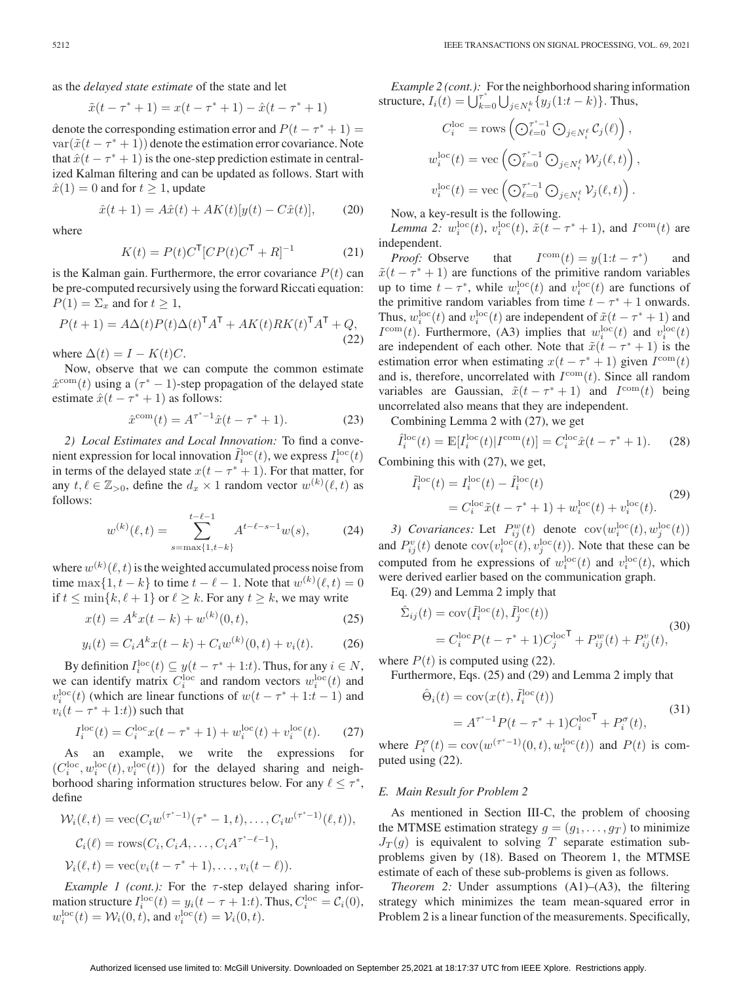as the *delayed state estimate* of the state and let

$$
\tilde{x}(t - \tau^* + 1) = x(t - \tau^* + 1) - \hat{x}(t - \tau^* + 1)
$$

denote the corresponding estimation error and  $P(t - \tau^* + 1) =$  $var(\tilde{x}(t - \tau^* + 1))$  denote the estimation error covariance. Note that  $\hat{x}(t - \tau^* + 1)$  is the one-step prediction estimate in centralized Kalman filtering and can be updated as follows. Start with  $\hat{x}(1) = 0$  and for  $t \ge 1$ , update

$$
\hat{x}(t+1) = A\hat{x}(t) + AK(t)[y(t) - C\hat{x}(t)],\tag{20}
$$

where

$$
K(t) = P(t)CT[CP(t)CT + R]-1
$$
 (21)

is the Kalman gain. Furthermore, the error covariance  $P(t)$  can be pre-computed recursively using the forward Riccati equation:  $P(1) = \Sigma_x$  and for  $t \geq 1$ ,

$$
P(t+1) = A\Delta(t)P(t)\Delta(t)^{\mathsf{T}}A^{\mathsf{T}} + AK(t)RK(t)^{\mathsf{T}}A^{\mathsf{T}} + Q,
$$
\n(22)

where  $\Delta(t) = I - K(t)C$ .

Now, observe that we can compute the common estimate  $\hat{x}^{\text{com}}(t)$  using a  $(\tau^* - 1)$ -step propagation of the delayed state estimate  $\hat{x}(t - \tau^* + 1)$  as follows:

$$
\hat{x}^{\text{com}}(t) = A^{\tau^* - 1}\hat{x}(t - \tau^* + 1). \tag{23}
$$

*2) Local Estimates and Local Innovation:* To find a convenient expression for local innovation  $\tilde{I}_i^{\text{loc}}(t)$ , we express  $I_i^{\text{loc}}(t)$ in terms of the delayed state  $x(t - \tau^* + 1)$ . For that matter, for any  $t, \ell \in \mathbb{Z}_{>0}$ , define the  $d_x \times 1$  random vector  $w^{(k)}(\ell, t)$  as follows:

$$
w^{(k)}(\ell,t) = \sum_{s=\max\{1,t-k\}}^{t-\ell-1} A^{t-\ell-s-1} w(s),\tag{24}
$$

where  $w^{(k)}(\ell, t)$  is the weighted accumulated process noise from time  $\max\{1, t-k\}$  to time  $t - \ell - 1$ . Note that  $w^{(k)}(\ell, t) = 0$ if  $t \leq \min\{k, \ell + 1\}$  or  $\ell \geq k$ . For any  $t \geq k$ , we may write

$$
x(t) = A^k x(t - k) + w^{(k)}(0, t),
$$
\n(25)

$$
y_i(t) = C_i A^k x(t - k) + C_i w^{(k)}(0, t) + v_i(t).
$$
 (26)

By definition  $I_i^{\text{loc}}(t) \subseteq y(t - \tau^* + 1:t)$ . Thus, for any  $i \in N$ , we can identify matrix  $C_i^{\text{loc}}$  and random vectors  $w_i^{\text{loc}}(t)$  and  $v_i^{\text{loc}}(t)$  (which are linear functions of  $w(t - \tau^* + 1:t - 1)$ ) and  $v_i(t - \tau^* + 1:t)$ ) such that

$$
I_i^{\text{loc}}(t) = C_i^{\text{loc}} x(t - \tau^* + 1) + w_i^{\text{loc}}(t) + v_i^{\text{loc}}(t). \tag{27}
$$

As an example, we write the expressions for  $(C_i^{\text{loc}}, w_i^{\text{loc}}(t), v_i^{\text{loc}}(t))$  for the delayed sharing and neighborhood sharing information structures below. For any  $\ell \leq \tau^*$ , define

$$
\mathcal{W}_i(\ell, t) = \text{vec}(C_i w^{(\tau^* - 1)}(\tau^* - 1, t), \dots, C_i w^{(\tau^* - 1)}(\ell, t)),
$$
  
\n
$$
C_i(\ell) = \text{rows}(C_i, C_i A, \dots, C_i A^{\tau^* - \ell - 1}),
$$
  
\n
$$
\mathcal{V}_i(\ell, t) = \text{vec}(v_i(t - \tau^* + 1), \dots, v_i(t - \ell)).
$$

*Example 1 (cont.):* For the  $\tau$ -step delayed sharing information structure  $I_i^{\text{loc}}(t) = y_i(t - \tau + 1:t)$ . Thus,  $C_i^{\text{loc}} = C_i(0)$ ,  $w_i^{\rm loc}(t) = \mathcal{W}_i(0, t)$ , and  $v_i^{\rm loc}(t) = \mathcal{V}_i(0, t)$ .

*Example 2 (cont.):* For the neighborhood sharing information structure,  $I_i(t) = \bigcup_{k=0}^{\tau^*} \bigcup_{j \in N_i^k} \{y_j(1:t-k)\}\)$ . Thus,

$$
C_i^{\text{loc}} = \text{rows} \left( \bigodot_{\ell=0}^{\tau^*-1} \bigodot_{j \in N_i^{\ell}} C_j(\ell) \right),
$$
  

$$
w_i^{\text{loc}}(t) = \text{vec} \left( \bigodot_{\ell=0}^{\tau^*-1} \bigodot_{j \in N_i^{\ell}} W_j(\ell, t) \right),
$$
  

$$
v_i^{\text{loc}}(t) = \text{vec} \left( \bigodot_{\ell=0}^{\tau^*-1} \bigodot_{j \in N_i^{\ell}} V_j(\ell, t) \right).
$$

Now, a key-result is the following.

*Lemma 2:*  $w_i^{\text{loc}}(t)$ ,  $v_i^{\text{loc}}(t)$ ,  $\tilde{x}(t - \tau^* + 1)$ , and  $I^{\text{com}}(t)$  are independent.

*Proof:* Observe that  $I^{\text{com}}(t) = y(1:t - \tau^*)$  $\tilde{x}(t - \tau^* + 1)$  are functions of the primitive random variables up to time  $t - \tau^*$ , while  $w_i^{\text{loc}}(t)$  and  $v_i^{\text{loc}}(t)$  are functions of the primitive random variables from time  $t - \tau^* + 1$  onwards. Thus,  $w_i^{\text{loc}}(t)$  and  $v_i^{\text{loc}}(t)$  are independent of  $\tilde{x}(t - \tau^* + 1)$  and  $I^{\text{com}}(t)$ . Furthermore, (A3) implies that  $w_i^{\text{loc}}(t)$  and  $v_i^{\text{loc}}(t)$ are independent of each other. Note that  $\tilde{x}(t - \tau^* + 1)$  is the estimation error when estimating  $x(t - \tau^* + 1)$  given  $I^{\text{com}}(t)$ and is, therefore, uncorrelated with  $I^{\text{com}}(t)$ . Since all random variables are Gaussian,  $\tilde{x}(t - \tau^* + 1)$  and  $I^{\text{com}}(t)$  being uncorrelated also means that they are independent.

Combining Lemma 2 with (27), we get

$$
\hat{I}_i^{\text{loc}}(t) = \mathbb{E}[I_i^{\text{loc}}(t)|I^{\text{com}}(t)] = C_i^{\text{loc}}\hat{x}(t - \tau^* + 1).
$$
 (28)

Combining this with (27), we get,

$$
\tilde{I}_i^{\text{loc}}(t) = I_i^{\text{loc}}(t) - \hat{I}_i^{\text{loc}}(t) \n= C_i^{\text{loc}} \tilde{x}(t - \tau^* + 1) + w_i^{\text{loc}}(t) + v_i^{\text{loc}}(t).
$$
\n(29)

3) Covariances: Let  $P_{ij}^w(t)$  denote  $cov(w_i^{\text{loc}}(t), w_j^{\text{loc}}(t))$ and  $P_{ij}^v(t)$  denote  $cov(v_i^{\text{loc}}(t), v_j^{\text{loc}}(t))$ . Note that these can be computed from he expressions of  $w_i^{\text{loc}}(t)$  and  $v_i^{\text{loc}}(t)$ , which were derived earlier based on the communication graph.

Eq. (29) and Lemma 2 imply that

$$
\hat{\Sigma}_{ij}(t) = \text{cov}(\tilde{I}_i^{\text{loc}}(t), \tilde{I}_j^{\text{loc}}(t))
$$
\n
$$
= C_i^{\text{loc}} P(t - \tau^* + 1) C_j^{\text{loc}}^{\top} + P_{ij}^w(t) + P_{ij}^v(t),
$$
\n(30)

where  $P(t)$  is computed using (22).

Furthermore, Eqs. (25) and (29) and Lemma 2 imply that

$$
\hat{\Theta}_i(t) = \text{cov}(x(t), \tilde{I}_i^{\text{loc}}(t))
$$
  
=  $A^{\tau^* - 1} P(t - \tau^* + 1) C_i^{\text{loc}} \mathsf{T} + P_i^{\sigma}(t),$  (31)

where  $P_i^{\sigma}(t) = \text{cov}(w^{(\tau^*-1)}(0,t), w_i^{\text{loc}}(t))$  and  $P(t)$  is computed using (22).

#### *E. Main Result for Problem 2*

As mentioned in Section III-C, the problem of choosing the MTMSE estimation strategy  $g = (g_1, \ldots, g_T)$  to minimize  $J_T(g)$  is equivalent to solving T separate estimation subproblems given by (18). Based on Theorem 1, the MTMSE estimate of each of these sub-problems is given as follows.

*Theorem 2:* Under assumptions (A1)–(A3), the filtering strategy which minimizes the team mean-squared error in Problem 2 is a linear function of the measurements. Specifically,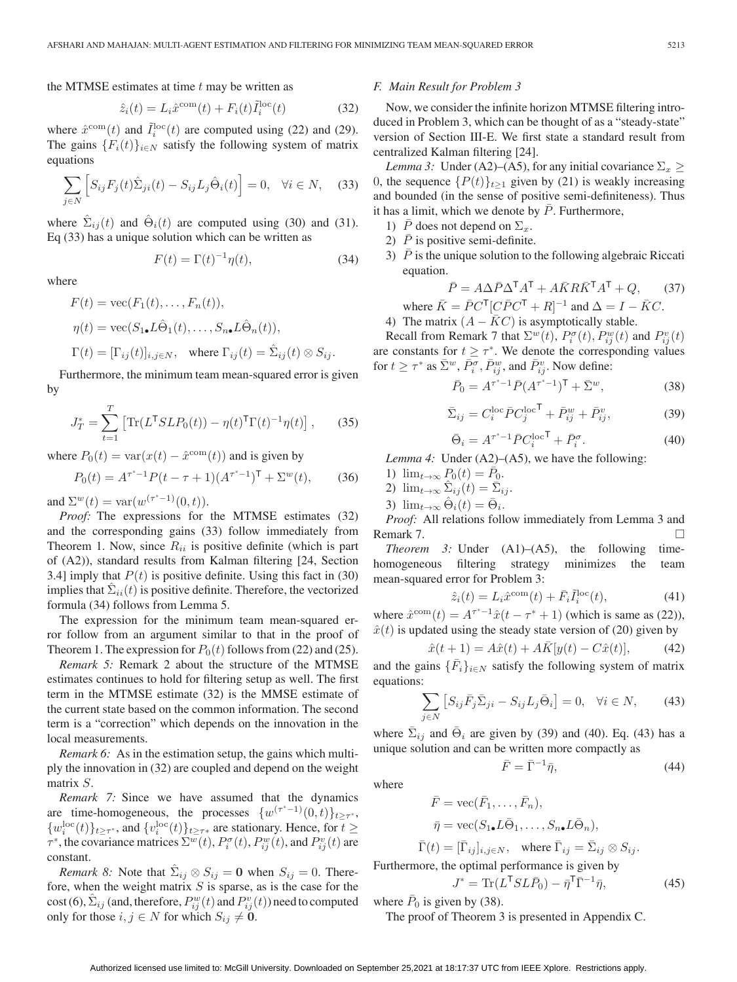the MTMSE estimates at time  $t$  may be written as

$$
\hat{z}_i(t) = L_i \hat{x}^{\text{com}}(t) + F_i(t) \tilde{I}_i^{\text{loc}}(t)
$$
\n(32)

where  $\hat{x}^{\text{com}}(t)$  and  $\tilde{I}_i^{\text{loc}}(t)$  are computed using (22) and (29). The gains  ${F_i(t)}_{i \in N}$  satisfy the following system of matrix equations

$$
\sum_{j \in N} \left[ S_{ij} F_j(t) \hat{\Sigma}_{ji}(t) - S_{ij} L_j \hat{\Theta}_i(t) \right] = 0, \quad \forall i \in N, \quad (33)
$$

where  $\Sigma_{ij}(t)$  and  $\Theta_i(t)$  are computed using (30) and (31). Eq (33) has a unique solution which can be written as

$$
F(t) = \Gamma(t)^{-1} \eta(t),\tag{34}
$$

where

$$
F(t) = \text{vec}(F_1(t), \dots, F_n(t)),
$$
  
\n
$$
\eta(t) = \text{vec}(S_{1\bullet}L\hat{\Theta}_1(t), \dots, S_{n\bullet}L\hat{\Theta}_n(t)),
$$
  
\n
$$
\Gamma(t) = [\Gamma_{ij}(t)]_{i,j \in N}, \text{ where } \Gamma_{ij}(t) = \hat{\Sigma}_{ij}(t) \otimes S_{ij}.
$$

Furthermore, the minimum team mean-squared error is given by

$$
f_{\rm{max}}
$$

$$
J_T^* = \sum_{t=1}^T \left[ \text{Tr}(L^{\mathsf{T}} SLP_0(t)) - \eta(t)^{\mathsf{T}} \Gamma(t)^{-1} \eta(t) \right], \qquad (35)
$$

where  $P_0(t) = \text{var}(x(t) - \hat{x}^{\text{com}}(t))$  and is given by

$$
P_0(t) = A^{\tau^*-1} P(t - \tau + 1) (A^{\tau^*-1})^{\mathsf{T}} + \Sigma^w(t),\tag{36}
$$

and  $\Sigma^{w}(t) = \text{var}(w^{(\tau^{*}-1)}(0,t)).$ 

*Proof:* The expressions for the MTMSE estimates (32) and the corresponding gains (33) follow immediately from Theorem 1. Now, since  $R_{ii}$  is positive definite (which is part of (A2)), standard results from Kalman filtering [24, Section 3.4] imply that  $P(t)$  is positive definite. Using this fact in (30) implies that  $\Sigma_{ii}(t)$  is positive definite. Therefore, the vectorized formula (34) follows from Lemma 5.

The expression for the minimum team mean-squared error follow from an argument similar to that in the proof of Theorem 1. The expression for  $P_0(t)$  follows from (22) and (25).

*Remark 5:* Remark 2 about the structure of the MTMSE estimates continues to hold for filtering setup as well. The first term in the MTMSE estimate (32) is the MMSE estimate of the current state based on the common information. The second term is a "correction" which depends on the innovation in the local measurements.

*Remark 6:* As in the estimation setup, the gains which multiply the innovation in (32) are coupled and depend on the weight matrix S.

*Remark 7:* Since we have assumed that the dynamics are time-homogeneous, the processes  $\{w^{(\tau^*-1)}(0,t)\}_{t>\tau^*}$ ,  $\{w_i^{\text{loc}}(t)\}_{t\geq \tau^*}$ , and  $\{v_i^{\text{loc}}(t)\}_{t\geq \tau^*}$  are stationary. Hence, for  $t \geq$  $\tau^*$ , the covariance matrices  $\Sigma^w(t)$ ,  $P_i^{\sigma}(t)$ ,  $P_{ij}^w(t)$ , and  $P_{ij}^v(t)$  are constant.

*Remark 8:* Note that  $\hat{\Sigma}_{ij} \otimes S_{ij} = 0$  when  $S_{ij} = 0$ . Therefore, when the weight matrix  $S$  is sparse, as is the case for the  $\text{cost}(6), \hat{\Sigma}_{ij}$  (and, therefore,  $P_{ij}^w(t)$  and  $P_{ij}^v(t)$ ) need to computed only for those *i*, *j* ∈ *N* for which  $S_{ij}$  ≠ **0**.

#### *F. Main Result for Problem 3*

Now, we consider the infinite horizon MTMSE filtering introduced in Problem 3, which can be thought of as a "steady-state" version of Section III-E. We first state a standard result from centralized Kalman filtering [24].

*Lemma 3:* Under (A2)–(A5), for any initial covariance  $\Sigma_x \geq$ 0, the sequence  $\{P(t)\}_{t\geq 1}$  given by (21) is weakly increasing and bounded (in the sense of positive semi-definiteness). Thus it has a limit, which we denote by  $\bar{P}$ . Furthermore,

- 1)  $\bar{P}$  does not depend on  $\Sigma_x$ .
- 2)  $\bar{P}$  is positive semi-definite.
- 3)  $\overline{P}$  is the unique solution to the following algebraic Riccati equation.

$$
\bar{P} = A\Delta\bar{P}\Delta^{T}A^{T} + A\bar{K}R\bar{K}^{T}A^{T} + Q, \qquad (37)
$$
  
where  $\bar{K} = \bar{P}C^{T}[C\bar{P}C^{T} + R]^{-1}$  and  $\Delta = I - \bar{K}C$ .

4) The matrix  $(A - KC)$  is asymptotically stable.

Recall from Remark 7 that  $\Sigma^w(t)$ ,  $P_i^{\sigma}(t)$ ,  $P_{ij}^w(t)$  and  $P_{ij}^v(t)$ are constants for  $t \geq \tau^*$ . We denote the corresponding values for  $t \geq \tau^*$  as  $\bar{\Sigma}^w$ ,  $\bar{P}_i^{\sigma}$ ,  $\bar{P}_{ij}^w$ , and  $\bar{P}_{ij}^v$ . Now define:

$$
\bar{P}_0 = A^{\tau^*-1} \bar{P} (A^{\tau^*-1})^{\mathsf{T}} + \bar{\Sigma}^w, \tag{38}
$$

$$
\bar{\Sigma}_{ij} = C_i^{\text{loc}} \bar{P} C_j^{\text{loc}}{}^{\mathsf{T}} + \bar{P}_{ij}^w + \bar{P}_{ij}^v,\tag{39}
$$

$$
\bar{\Theta}_i = A^{\tau^*-1} \bar{P} C_i^{\text{loc}}{}^{\mathsf{T}} + \bar{P}_i^{\sigma}.
$$
 (40)

*Lemma 4:* Under (A2)–(A5), we have the following:

- 1)  $\lim_{t\to\infty} P_0(t) = \bar{P}_0$ .
- 2)  $\lim_{t\to\infty} \hat{\Sigma}_{ij}(t) = \bar{\Sigma}_{ij}.$
- 3)  $\lim_{t\to\infty} \hat{\Theta}_i(t) = \bar{\Theta}_i$ .

*Proof:* All relations follow immediately from Lemma 3 and Remark 7.

*Theorem 3:* Under (A1)–(A5), the following timehomogeneous filtering strategy minimizes the team mean-squared error for Problem 3:

$$
\hat{z}_i(t) = L_i \hat{x}^{\text{com}}(t) + \bar{F}_i \tilde{I}_i^{\text{loc}}(t), \tag{41}
$$

where  $\hat{x}^{\text{com}}(t) = A^{\tau^* - 1}\hat{x}(t - \tau^* + 1)$  (which is same as (22)),  $\hat{x}(t)$  is updated using the steady state version of (20) given by

$$
\hat{x}(t+1) = A\hat{x}(t) + A\bar{K}[y(t) - C\hat{x}(t)],
$$
\n(42)

and the gains  $\{\overline{F}_i\}_{i\in\mathbb{N}}$  satisfy the following system of matrix equations:

$$
\sum_{j \in N} \left[ S_{ij} \bar{F}_j \bar{\Sigma}_{ji} - S_{ij} L_j \bar{\Theta}_i \right] = 0, \quad \forall i \in N,
$$
 (43)

where  $\bar{\Sigma}_{ij}$  and  $\bar{\Theta}_i$  are given by (39) and (40). Eq. (43) has a unique solution and can be written more compactly as

$$
\bar{F} = \bar{\Gamma}^{-1}\bar{\eta},\tag{44}
$$

where

$$
\bar{F} = \text{vec}(\bar{F}_1, \dots, \bar{F}_n),
$$
  
\n
$$
\bar{\eta} = \text{vec}(S_{1\bullet}L\bar{\Theta}_1, \dots, S_{n\bullet}L\bar{\Theta}_n),
$$

$$
\bar{\Gamma}(t) = [\bar{\Gamma}_{ij}]_{i,j \in N}, \quad \text{where } \bar{\Gamma}_{ij} = \bar{\Sigma}_{ij} \otimes S_{ij}.
$$

Furthermore, the optimal performance is given by

$$
J^* = \text{Tr}(L^{\mathsf{T}} SL\bar{P}_0) - \bar{\eta}^{\mathsf{T}} \bar{\Gamma}^{-1} \bar{\eta},\tag{45}
$$

where  $P_0$  is given by (38).

The proof of Theorem 3 is presented in Appendix C.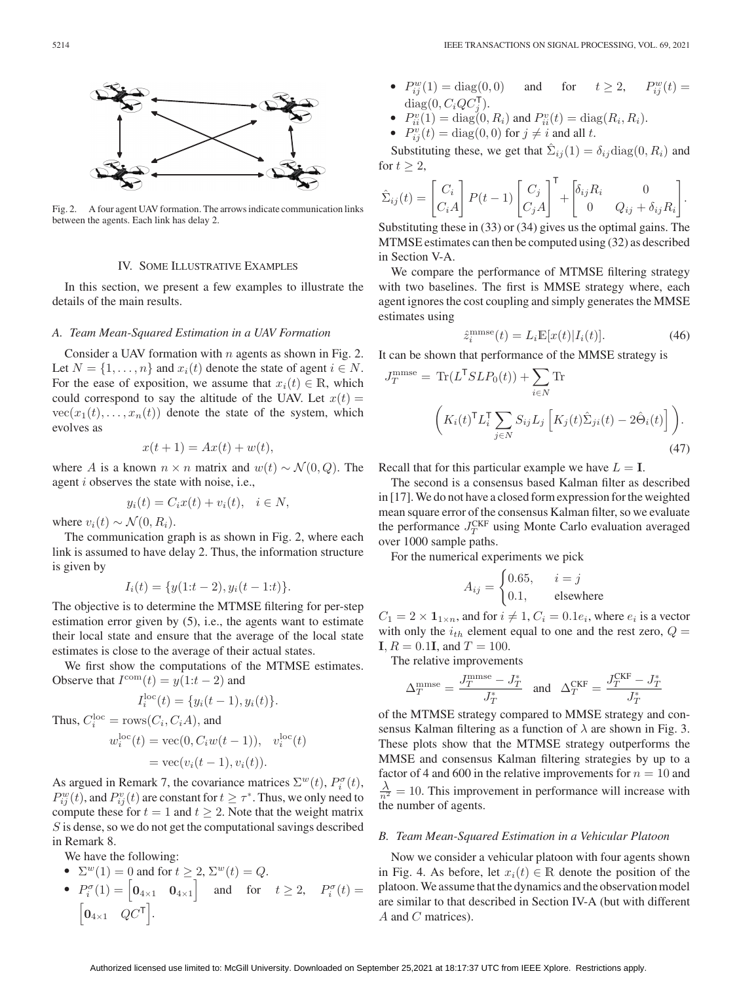

Fig. 2. A four agent UAV formation. The arrows indicate communication links between the agents. Each link has delay 2.

## IV. SOME ILLUSTRATIVE EXAMPLES

In this section, we present a few examples to illustrate the details of the main results.

#### *A. Team Mean-Squared Estimation in a UAV Formation*

Consider a UAV formation with  $n$  agents as shown in Fig. 2. Let  $N = \{1, \ldots, n\}$  and  $x_i(t)$  denote the state of agent  $i \in N$ . For the ease of exposition, we assume that  $x_i(t) \in \mathbb{R}$ , which could correspond to say the altitude of the UAV. Let  $x(t) =$  $vec(x_1(t),\ldots,x_n(t))$  denote the state of the system, which evolves as

$$
x(t+1) = Ax(t) + w(t),
$$

where A is a known  $n \times n$  matrix and  $w(t) \sim \mathcal{N}(0, Q)$ . The agent i observes the state with noise, i.e.,

$$
y_i(t) = C_i x(t) + v_i(t), \quad i \in N,
$$

where  $v_i(t) \sim \mathcal{N}(0, R_i)$ .

The communication graph is as shown in Fig. 2, where each link is assumed to have delay 2. Thus, the information structure is given by

$$
I_i(t) = \{y(1:t-2), y_i(t-1:t)\}.
$$

The objective is to determine the MTMSE filtering for per-step estimation error given by (5), i.e., the agents want to estimate their local state and ensure that the average of the local state estimates is close to the average of their actual states.

We first show the computations of the MTMSE estimates. Observe that  $I^{\text{com}}(t) = y(1:t-2)$  and

$$
I_i^{\text{loc}}(t) = \{y_i(t-1), y_i(t)\}.
$$
  
\nThus,  $C_i^{\text{loc}} = \text{rows}(C_i, C_i A)$ , and  
\n
$$
w_i^{\text{loc}}(t) = \text{vec}(0, C_i w(t-1)), \quad v_i^{\text{loc}}(t)
$$
\n
$$
= \text{vec}(v_i(t-1), v_i(t)).
$$

As argued in Remark 7, the covariance matrices  $\Sigma^{w}(t)$ ,  $P_i^{\sigma}(t)$ ,  $P_{ij}^w(t)$ , and  $P_{ij}^v(t)$  are constant for  $t \geq \tau^*$ . Thus, we only need to compute these for  $t = 1$  and  $t \geq 2$ . Note that the weight matrix S is dense, so we do not get the computational savings described in Remark 8.

We have the following:

- $\sum^w(1) = 0$  and for  $t \ge 2$ ,  $\Sigma^w(t) = Q$ .
- $\mathbf{P}_i^{\sigma}(1) = \begin{bmatrix} \mathbf{0}_{4 \times 1} & \mathbf{0}_{4 \times 1} \end{bmatrix}$  and for  $t \geq 2$ ,  $P_i^{\sigma}(t) =$  $\begin{bmatrix} \mathbf{0}_{4 \times 1} & QC^{\mathsf{T}} \end{bmatrix}$ .
- $P_{ij}^w(1) = \text{diag}(0,0)$  and for  $t \ge 2$ ,  $P_{ij}^w$  $P_{ij}^w(t) =$  $diag(0, C_iQC_i^{\mathsf{T}}).$
- $\begin{cases} \text{diag}(0, C_i Q C_j^{\mathsf{T}}). \\ P_{ii}^v(1) = \text{diag}(0, R_i) \text{ and } P_{ii}^v(t) = \text{diag}(R_i, R_i). \\ P_{ij}^v(t) = \text{diag}(0, 0) \text{ for } j \neq i \text{ and all } t. \end{cases}$
- 

Substituting these, we get that  $\hat{\Sigma}_{ij}(1) = \delta_{ij} \text{diag}(0, R_i)$  and for  $t \geq 2$ ,

$$
\hat{\Sigma}_{ij}(t) = \begin{bmatrix} C_i \\ C_i A \end{bmatrix} P(t-1) \begin{bmatrix} C_j \\ C_j A \end{bmatrix}^{\mathsf{T}} + \begin{bmatrix} \delta_{ij} R_i & 0 \\ 0 & Q_{ij} + \delta_{ij} R_i \end{bmatrix}.
$$

Substituting these in (33) or (34) gives us the optimal gains. The MTMSE estimates can then be computed using (32) as described in Section V-A.

We compare the performance of MTMSE filtering strategy with two baselines. The first is MMSE strategy where, each agent ignores the cost coupling and simply generates the MMSE estimates using

$$
\hat{z}_i^{\text{mmse}}(t) = L_i \mathbb{E}[x(t)|I_i(t)].\tag{46}
$$

It can be shown that performance of the MMSE strategy is

$$
J_T^{\text{mmse}} = \text{Tr}(L^{\text{T}} S L P_0(t)) + \sum_{i \in N} \text{Tr}
$$

$$
\left( K_i(t)^{\text{T}} L_i^{\text{T}} \sum_{j \in N} S_{ij} L_j \left[ K_j(t) \hat{\Sigma}_{ji}(t) - 2 \hat{\Theta}_i(t) \right] \right).
$$
(47)

Recall that for this particular example we have  $L = I$ .

The second is a consensus based Kalman filter as described in [17].We do not have a closed form expression for the weighted mean square error of the consensus Kalman filter, so we evaluate the performance  $J_T^{\text{CKF}}$  using Monte Carlo evaluation averaged over 1000 sample paths.

For the numerical experiments we pick

$$
A_{ij} = \begin{cases} 0.65, & i = j \\ 0.1, & \text{elsewhere} \end{cases}
$$

 $C_1 = 2 \times \mathbf{1}_{1 \times n}$ , and for  $i \neq 1$ ,  $C_i = 0.1e_i$ , where  $e_i$  is a vector with only the  $i_{th}$  element equal to one and the rest zero,  $Q =$  $I, R = 0.1I,$  and  $T = 100$ .

The relative improvements

$$
\Delta_T^{\text{mmse}} = \frac{J_T^{\text{mmse}} - J_T^*}{J_T^*} \quad \text{and} \quad \Delta_T^{\text{CKF}} = \frac{J_T^{\text{CKF}} - J_T^*}{J_T^*}
$$

of the MTMSE strategy compared to MMSE strategy and consensus Kalman filtering as a function of  $\lambda$  are shown in Fig. 3. These plots show that the MTMSE strategy outperforms the MMSE and consensus Kalman filtering strategies by up to a factor of 4 and 600 in the relative improvements for  $n = 10$  and  $\frac{\lambda}{n^2} = 10$ . This improvement in performance will increase with the number of agents.

#### *B. Team Mean-Squared Estimation in a Vehicular Platoon*

Now we consider a vehicular platoon with four agents shown in Fig. 4. As before, let  $x_i(t) \in \mathbb{R}$  denote the position of the platoon.We assume that the dynamics and the observation model are similar to that described in Section IV-A (but with different A and C matrices).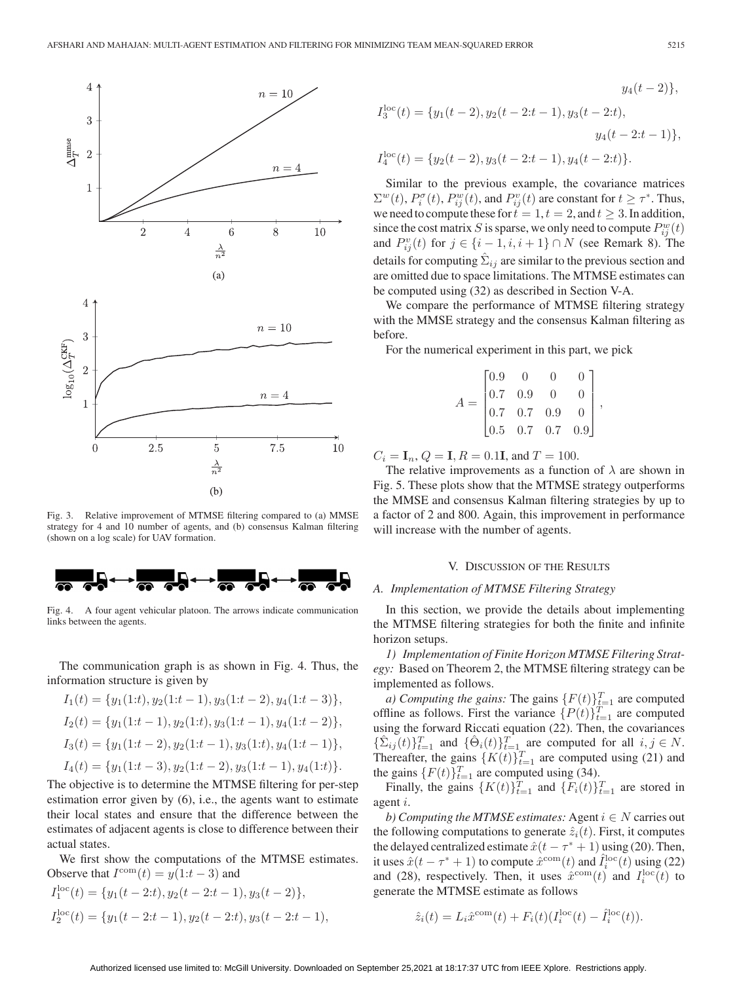

Fig. 3. Relative improvement of MTMSE filtering compared to (a) MMSE strategy for 4 and 10 number of agents, and (b) consensus Kalman filtering (shown on a log scale) for UAV formation.



Fig. 4. A four agent vehicular platoon. The arrows indicate communication links between the agents.

The communication graph is as shown in Fig. 4. Thus, the information structure is given by

$$
I_1(t) = \{y_1(1:t), y_2(1:t-1), y_3(1:t-2), y_4(1:t-3)\},
$$
  
\n
$$
I_2(t) = \{y_1(1:t-1), y_2(1:t), y_3(1:t-1), y_4(1:t-2)\},
$$
  
\n
$$
I_3(t) = \{y_1(1:t-2), y_2(1:t-1), y_3(1:t), y_4(1:t-1)\},
$$
  
\n
$$
I_4(t) = \{y_1(1:t-3), y_2(1:t-2), y_3(1:t-1), y_4(1:t)\}.
$$

The objective is to determine the MTMSE filtering for per-step estimation error given by (6), i.e., the agents want to estimate their local states and ensure that the difference between the estimates of adjacent agents is close to difference between their actual states.

We first show the computations of the MTMSE estimates. Observe that  $I^{\text{com}}(t) = y(1:t-3)$  and

$$
I_1^{\text{loc}}(t) = \{y_1(t-2:t), y_2(t-2:t-1), y_3(t-2)\},\
$$
  

$$
I_2^{\text{loc}}(t) = \{y_1(t-2:t-1), y_2(t-2:t), y_3(t-2:t-1),
$$

$$
y_4(t-2)\},
$$
  
\n
$$
I_3^{\text{loc}}(t) = \{y_1(t-2), y_2(t-2:t-1), y_3(t-2:t),
$$
  
\n
$$
y_4(t-2:t-1)\},
$$
  
\n
$$
I_4^{\text{loc}}(t) = \{y_2(t-2), y_3(t-2:t-1), y_4(t-2:t)\}.
$$

Similar to the previous example, the covariance matrices  $\Sigma^w(t)$ ,  $P_i^{\sigma}(t)$ ,  $P_{ij}^w(t)$ , and  $P_{ij}^v(t)$  are constant for  $t \geq \tau^*$ . Thus, we need to compute these for  $t = 1, t = 2$ , and  $t \geq 3$ . In addition, since the cost matrix S is sparse, we only need to compute  $P_{ij}^w(t)$ and  $P_{ij}^v(t)$  for  $j \in \{i-1, i, i+1\} \cap N$  (see Remark 8). The details for computing  $\Sigma_{ij}$  are similar to the previous section and are omitted due to space limitations. The MTMSE estimates can be computed using (32) as described in Section V-A.

We compare the performance of MTMSE filtering strategy with the MMSE strategy and the consensus Kalman filtering as before.

For the numerical experiment in this part, we pick

$$
A = \begin{bmatrix} 0.9 & 0 & 0 & 0 \\ 0.7 & 0.9 & 0 & 0 \\ 0.7 & 0.7 & 0.9 & 0 \\ 0.5 & 0.7 & 0.7 & 0.9 \end{bmatrix},
$$

 $C_i = I_n, Q = I, R = 0.1I,$  and  $T = 100$ .

The relative improvements as a function of  $\lambda$  are shown in Fig. 5. These plots show that the MTMSE strategy outperforms the MMSE and consensus Kalman filtering strategies by up to a factor of 2 and 800. Again, this improvement in performance will increase with the number of agents.

#### V. DISCUSSION OF THE RESULTS

#### *A. Implementation of MTMSE Filtering Strategy*

In this section, we provide the details about implementing the MTMSE filtering strategies for both the finite and infinite horizon setups.

*1) Implementation of Finite Horizon MTMSE Filtering Strategy:* Based on Theorem 2, the MTMSE filtering strategy can be implemented as follows.

*a) Computing the gains:* The gains  $\{F(t)\}_{t=1}^T$  are computed offline as follows. First the variance  $\{P(t)\}_{t=1}^T$  are computed using the forward Riccati equation (22). Then, the covariances  $\{\hat{\Sigma}_{ij}(t)\}_{t=1}^T$  and  $\{\hat{\Theta}_i(t)\}_{t=1}^T$  are computed for all  $i, j \in N$ . Thereafter, the gains  $\{K(t)\}_{t=1}^T$  are computed using (21) and the gains  $\{F(t)\}_{t=1}^T$  are computed using (34).

Finally, the gains  $\{K(t)\}_{t=1}^T$  and  $\{F_i(t)\}_{t=1}^T$  are stored in agent i.

*b)* Computing the MTMSE estimates: Agent  $i \in N$  carries out the following computations to generate  $\hat{z}_i(t)$ . First, it computes the delayed centralized estimate  $\hat{x}(t - \tau^* + 1)$  using (20). Then, it uses  $\hat{x}(t - \tau^* + 1)$  to compute  $\hat{x}^{\text{com}}(t)$  and  $\hat{I}_i^{\text{loc}}(t)$  using (22) and (28), respectively. Then, it uses  $\hat{x}^{\text{com}}(t)$  and  $I_i^{\text{loc}}(t)$  to generate the MTMSE estimate as follows

$$
\hat{z}_i(t) = L_i \hat{x}^{\text{com}}(t) + F_i(t) (I_i^{\text{loc}}(t) - \hat{I}_i^{\text{loc}}(t)).
$$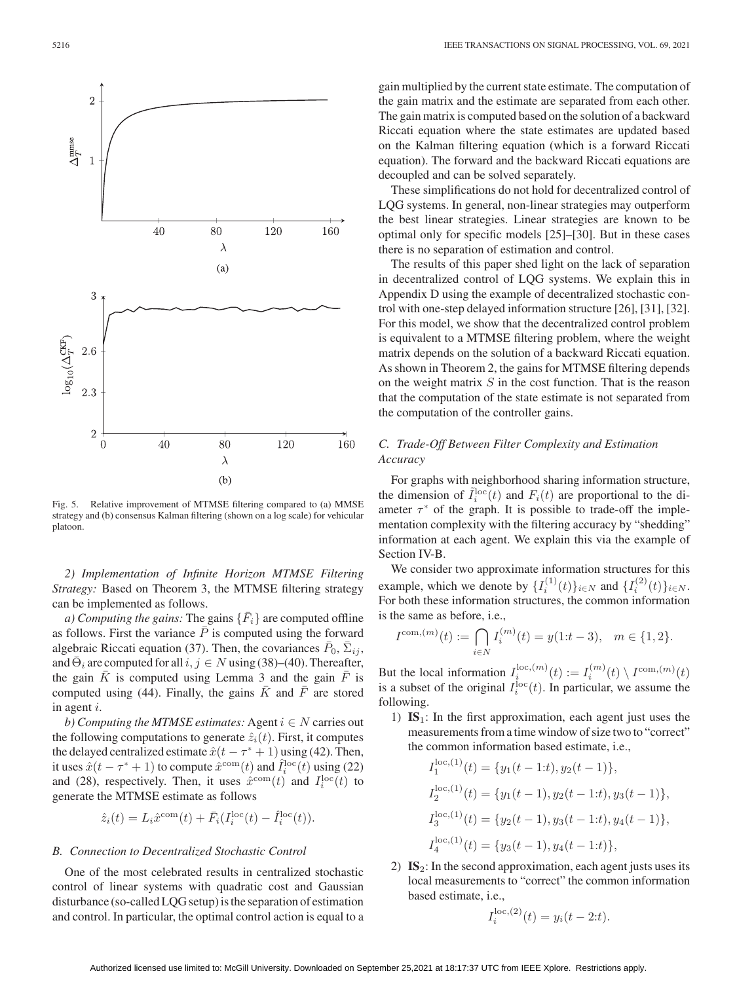

Fig. 5. Relative improvement of MTMSE filtering compared to (a) MMSE strategy and (b) consensus Kalman filtering (shown on a log scale) for vehicular platoon.

*2) Implementation of Infinite Horizon MTMSE Filtering Strategy:* Based on Theorem 3, the MTMSE filtering strategy can be implemented as follows.

*a) Computing the gains:* The gains  $\{\bar{F}_i\}$  are computed offline as follows. First the variance  $\overline{P}$  is computed using the forward algebraic Riccati equation (37). Then, the covariances  $\bar{P}_0$ ,  $\bar{\Sigma}_{ij}$ , and  $\bar{\Theta}_i$  are computed for all  $i, j \in N$  using (38)–(40). Thereafter, the gain  $\bar{K}$  is computed using Lemma 3 and the gain  $\bar{F}$  is computed using (44). Finally, the gains  $\overline{K}$  and  $\overline{F}$  are stored in agent i.

*b)* Computing the MTMSE estimates: Agent  $i \in N$  carries out the following computations to generate  $\hat{z}_i(t)$ . First, it computes the delayed centralized estimate  $\hat{x}(t - \tau^* + 1)$  using (42). Then, it uses  $\hat{x}(t - \tau^* + 1)$  to compute  $\hat{x}^{\text{com}}(t)$  and  $\hat{I}_i^{\text{loc}}(t)$  using (22) and (28), respectively. Then, it uses  $\hat{x}^{\text{com}}(t)$  and  $I_i^{\text{loc}}(t)$  to generate the MTMSE estimate as follows

$$
\hat{z}_i(t) = L_i \hat{x}^{\text{com}}(t) + \bar{F}_i (I_i^{\text{loc}}(t) - \hat{I}_i^{\text{loc}}(t)).
$$

## *B. Connection to Decentralized Stochastic Control*

One of the most celebrated results in centralized stochastic control of linear systems with quadratic cost and Gaussian disturbance (so-called LQG setup) is the separation of estimation and control. In particular, the optimal control action is equal to a

gain multiplied by the current state estimate. The computation of the gain matrix and the estimate are separated from each other. The gain matrix is computed based on the solution of a backward Riccati equation where the state estimates are updated based on the Kalman filtering equation (which is a forward Riccati equation). The forward and the backward Riccati equations are decoupled and can be solved separately.

These simplifications do not hold for decentralized control of LQG systems. In general, non-linear strategies may outperform the best linear strategies. Linear strategies are known to be optimal only for specific models [25]–[30]. But in these cases there is no separation of estimation and control.

The results of this paper shed light on the lack of separation in decentralized control of LQG systems. We explain this in Appendix D using the example of decentralized stochastic control with one-step delayed information structure [26], [31], [32]. For this model, we show that the decentralized control problem is equivalent to a MTMSE filtering problem, where the weight matrix depends on the solution of a backward Riccati equation. As shown in Theorem 2, the gains for MTMSE filtering depends on the weight matrix  $S$  in the cost function. That is the reason that the computation of the state estimate is not separated from the computation of the controller gains.

# *C. Trade-Off Between Filter Complexity and Estimation Accuracy*

For graphs with neighborhood sharing information structure, the dimension of  $\tilde{I}_i^{\text{loc}}(t)$  and  $F_i(t)$  are proportional to the diameter  $\tau^*$  of the graph. It is possible to trade-off the implementation complexity with the filtering accuracy by "shedding" information at each agent. We explain this via the example of Section IV-B.

We consider two approximate information structures for this example, which we denote by  $\{I_i^{(1)}(t)\}_{i \in N}$  and  $\{I_i^{(2)}(t)\}_{i \in N}$ . For both these information structures, the common information is the same as before, i.e.,

$$
I^{\text{com},(m)}(t) := \bigcap_{i \in N} I_i^{(m)}(t) = y(1:t-3), \quad m \in \{1, 2\}.
$$

But the local information  $I_i^{\text{loc},(m)}(t) := I_i^{(m)}(t) \setminus I^{\text{com},(m)}(t)$ is a subset of the original  $I_i^{\text{loc}}(t)$ . In particular, we assume the following.

1) **IS**1: In the first approximation, each agent just uses the measurements from a time window of size two to "correct" the common information based estimate, i.e.,

$$
I_1^{\text{loc},(1)}(t) = \{y_1(t-1:t), y_2(t-1)\},
$$
  
\n
$$
I_2^{\text{loc},(1)}(t) = \{y_1(t-1), y_2(t-1:t), y_3(t-1)\},
$$
  
\n
$$
I_3^{\text{loc},(1)}(t) = \{y_2(t-1), y_3(t-1:t), y_4(t-1)\},
$$
  
\n
$$
I_4^{\text{loc},(1)}(t) = \{y_3(t-1), y_4(t-1:t)\},
$$

2) **IS**2: In the second approximation, each agent justs uses its local measurements to "correct" the common information based estimate, i.e.,

$$
I_i^{\text{loc},(2)}(t) = y_i(t - 2:t).
$$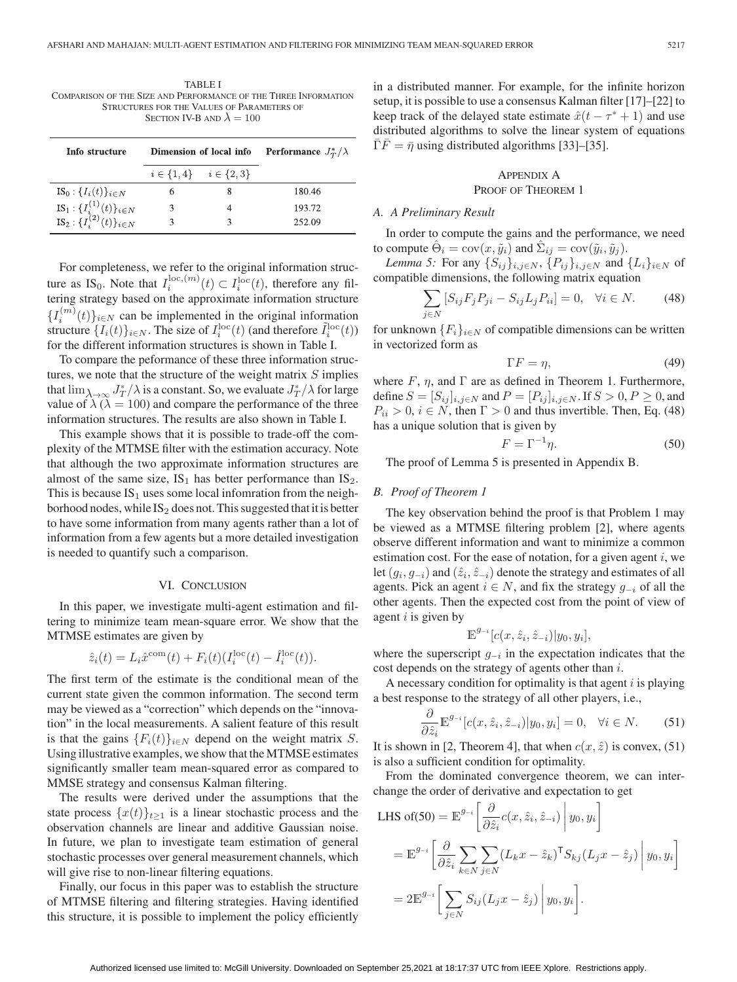TABLE I COMPARISON OF THE SIZE AND PERFORMANCE OF THE THREE INFORMATION STRUCTURES FOR THE VALUES OF PARAMETERS OF SECTION IV-B AND  $\lambda = 100$ 

| Info structure                                                                                                                                | Dimension of local info |                                 | <b>Performance</b> $J^*_{\tau}/\lambda$ |
|-----------------------------------------------------------------------------------------------------------------------------------------------|-------------------------|---------------------------------|-----------------------------------------|
|                                                                                                                                               |                         | $i \in \{1,4\}$ $i \in \{2,3\}$ |                                         |
| $IS_0: \{I_i(t)\}_{i \in N}$                                                                                                                  |                         |                                 | 180.46                                  |
| IS <sub>1</sub> : { $I_i^{(1)}(t)$ } <sub><i>i</i>∈<i>N</i><br/>IS<sub>2</sub>: {<math>I_i^{(2)}(t)</math>}<sub><i>i</i>∈<i>N</i></sub></sub> |                         |                                 | 193.72                                  |
|                                                                                                                                               |                         |                                 | 252.09                                  |

For completeness, we refer to the original information structure as IS<sub>0</sub>. Note that  $I_i^{\text{loc},(m)}(t) \subset I_i^{\text{loc}}(t)$ , therefore any filtering strategy based on the approximate information structure  $\{I_i^{(m)}(t)\}_{i\in\mathbb{N}}$  can be implemented in the original information structure  $\{I_i(t)\}_{i \in N}$ . The size of  $I_i^{\text{loc}}(t)$  (and therefore  $\tilde{I}_i^{\text{loc}}(t)$ ) for the different information structures is shown in Table I.

To compare the peformance of these three information structures, we note that the structure of the weight matrix  $S$  implies that  $\lim_{\lambda \to \infty} J_T^*/\lambda$  is a constant. So, we evaluate  $J_T^*/\lambda$  for large value of  $\lambda$  ( $\lambda = 100$ ) and compare the performance of the three information structures. The results are also shown in Table I.

This example shows that it is possible to trade-off the complexity of the MTMSE filter with the estimation accuracy. Note that although the two approximate information structures are almost of the same size,  $IS_1$  has better performance than  $IS_2$ . This is because  $IS_1$  uses some local infomration from the neighborhood nodes, while  $IS_2$  does not. This suggested that it is better to have some information from many agents rather than a lot of information from a few agents but a more detailed investigation is needed to quantify such a comparison.

#### VI. CONCLUSION

In this paper, we investigate multi-agent estimation and filtering to minimize team mean-square error. We show that the MTMSE estimates are given by

$$
\hat{z}_i(t) = L_i \hat{x}^{\text{com}}(t) + F_i(t) (I_i^{\text{loc}}(t) - \hat{I}_i^{\text{loc}}(t)).
$$

The first term of the estimate is the conditional mean of the current state given the common information. The second term may be viewed as a "correction" which depends on the "innovation" in the local measurements. A salient feature of this result is that the gains  ${F_i(t)}_{i \in N}$  depend on the weight matrix S. Using illustrative examples, we show that the MTMSE estimates significantly smaller team mean-squared error as compared to MMSE strategy and consensus Kalman filtering.

The results were derived under the assumptions that the state process  $\{x(t)\}_{t\geq 1}$  is a linear stochastic process and the observation channels are linear and additive Gaussian noise. In future, we plan to investigate team estimation of general stochastic processes over general measurement channels, which will give rise to non-linear filtering equations.

Finally, our focus in this paper was to establish the structure of MTMSE filtering and filtering strategies. Having identified this structure, it is possible to implement the policy efficiently in a distributed manner. For example, for the infinite horizon setup, it is possible to use a consensus Kalman filter [17]–[22] to keep track of the delayed state estimate  $\hat{x}(t - \tau^* + 1)$  and use distributed algorithms to solve the linear system of equations  $\overline{\Gamma}F = \overline{\eta}$  using distributed algorithms [33]–[35].

## APPENDIX A PROOF OF THEOREM 1

## *A. A Preliminary Result*

In order to compute the gains and the performance, we need to compute  $\hat{\Theta}_i = \text{cov}(x, \tilde{y}_i)$  and  $\hat{\Sigma}_{ij} = \text{cov}(\tilde{y}_i, \tilde{y}_j)$ .

*Lemma 5:* For any  $\{S_{ij}\}_{i,j\in N}$ ,  $\{P_{ij}\}_{i,j\in N}$  and  $\{L_i\}_{i\in N}$  of compatible dimensions, the following matrix equation

$$
\sum_{j \in N} [S_{ij} F_j P_{ji} - S_{ij} L_j P_{ii}] = 0, \quad \forall i \in N. \tag{48}
$$

for unknown  ${F_i}_{i \in N}$  of compatible dimensions can be written in vectorized form as

$$
\Gamma F = \eta,\tag{49}
$$

where  $F$ ,  $\eta$ , and  $\Gamma$  are as defined in Theorem 1. Furthermore, define  $S = [S_{ij}]_{i,j \in N}$  and  $P = [P_{ij}]_{i,j \in N}$ . If  $S > 0, P \ge 0$ , and  $P_{ii} > 0$ ,  $i \in N$ , then  $\Gamma > 0$  and thus invertible. Then, Eq. (48) has a unique solution that is given by

$$
F = \Gamma^{-1} \eta. \tag{50}
$$

The proof of Lemma 5 is presented in Appendix B.

## *B. Proof of Theorem 1*

The key observation behind the proof is that Problem 1 may be viewed as a MTMSE filtering problem [2], where agents observe different information and want to minimize a common estimation cost. For the ease of notation, for a given agent  $i$ , we let  $(g_i, g_{-i})$  and  $(\hat{z}_i, \hat{z}_{-i})$  denote the strategy and estimates of all agents. Pick an agent  $i \in N$ , and fix the strategy  $g_{-i}$  of all the other agents. Then the expected cost from the point of view of agent  $i$  is given by

$$
\mathbb{E}^{g_{-i}}[c(x,\hat{z}_i,\hat{z}_{-i})|y_0,y_i],
$$

where the superscript  $g_{-i}$  in the expectation indicates that the cost depends on the strategy of agents other than i.

A necessary condition for optimality is that agent  $i$  is playing a best response to the strategy of all other players, i.e.,

$$
\frac{\partial}{\partial \hat{z}_i} \mathbb{E}^{g_{-i}}[c(x, \hat{z}_i, \hat{z}_{-i})|y_0, y_i] = 0, \quad \forall i \in N. \tag{51}
$$

It is shown in [2, Theorem 4], that when  $c(x, \hat{z})$  is convex, (51) is also a sufficient condition for optimality.

From the dominated convergence theorem, we can interchange the order of derivative and expectation to get

LHS of(50) = 
$$
\mathbb{E}^{g_{-i}} \left[ \frac{\partial}{\partial \hat{z}_i} c(x, \hat{z}_i, \hat{z}_{-i}) \middle| y_0, y_i \right]
$$
  
\n=  $\mathbb{E}^{g_{-i}} \left[ \frac{\partial}{\partial \hat{z}_i} \sum_{k \in N} \sum_{j \in N} (L_k x - \hat{z}_k)^{\mathsf{T}} S_{kj} (L_j x - \hat{z}_j) \middle| y_0, y_i \right]$   
\n=  $2 \mathbb{E}^{g_{-i}} \left[ \sum_{j \in N} S_{ij} (L_j x - \hat{z}_j) \middle| y_0, y_i \right].$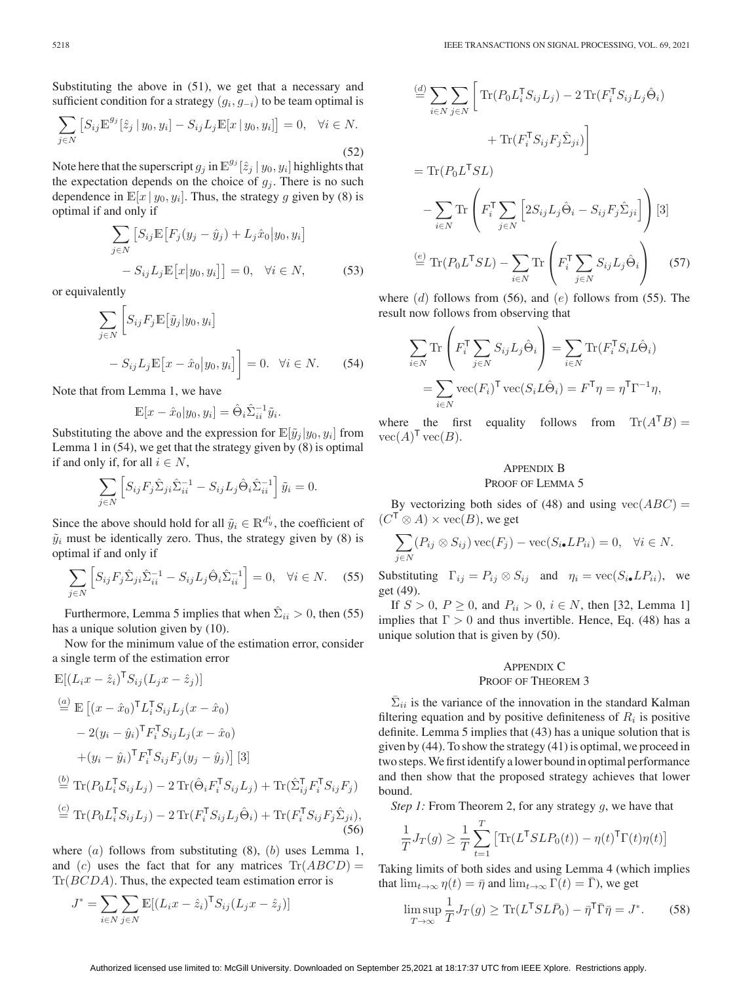Substituting the above in (51), we get that a necessary and sufficient condition for a strategy  $(g_i, g_{-i})$  to be team optimal is

$$
\sum_{j \in N} \left[ S_{ij} \mathbb{E}^{g_j} [\hat{z}_j | y_0, y_i] - S_{ij} L_j \mathbb{E}[x | y_0, y_i] \right] = 0, \quad \forall i \in N.
$$
\n(52)

Note here that the superscript  $g_j$  in  $\mathbb{E}^{g_j}[z_j | y_0, y_i]$  highlights that the expectation depends on the choice of  $g_i$ . There is no such dependence in  $\mathbb{E}[x \mid y_0, y_i]$ . Thus, the strategy g given by (8) is optimal if and only if

$$
\sum_{j \in N} \left[ S_{ij} \mathbb{E} \left[ F_j(y_j - \hat{y}_j) + L_j \hat{x}_0 | y_0, y_i \right] - S_{ij} L_j \mathbb{E} \left[ x | y_0, y_i \right] \right] = 0, \quad \forall i \in N,
$$
\n(53)

or equivalently

$$
\sum_{j \in N} \left[ S_{ij} F_j \mathbb{E} \left[ \tilde{y}_j | y_0, y_i \right] - S_{ij} L_j \mathbb{E} \left[ x - \hat{x}_0 | y_0, y_i \right] \right] = 0. \quad \forall i \in N. \tag{54}
$$

Note that from Lemma 1, we have

$$
\mathbb{E}[x - \hat{x}_0 | y_0, y_i] = \hat{\Theta}_i \hat{\Sigma}_{ii}^{-1} \tilde{y}_i.
$$

Substituting the above and the expression for  $\mathbb{E}[\tilde{y}_j | y_0, y_i]$  from Lemma 1 in (54), we get that the strategy given by (8) is optimal if and only if, for all  $i \in N$ ,

$$
\sum_{j \in N} \left[ S_{ij} F_j \hat{\Sigma}_{ji} \hat{\Sigma}_{ii}^{-1} - S_{ij} L_j \hat{\Theta}_i \hat{\Sigma}_{ii}^{-1} \right] \tilde{y}_i = 0.
$$

Since the above should hold for all  $\tilde{y}_i \in \mathbb{R}^{d_y^i}$ , the coefficient of  $\tilde{y}_i$  must be identically zero. Thus, the strategy given by (8) is optimal if and only if

$$
\sum_{j \in N} \left[ S_{ij} F_j \hat{\Sigma}_{ji} \hat{\Sigma}_{ii}^{-1} - S_{ij} L_j \hat{\Theta}_i \hat{\Sigma}_{ii}^{-1} \right] = 0, \quad \forall i \in N. \tag{55}
$$

Furthermore, Lemma 5 implies that when  $\sum_{i}$  > 0, then (55) has a unique solution given by (10).

Now for the minimum value of the estimation error, consider a single term of the estimation error

$$
\mathbb{E}[(L_i x - \hat{z}_i)^{\mathsf{T}} S_{ij} (L_j x - \hat{z}_j)]
$$
\n
$$
\stackrel{(a)}{=} \mathbb{E} [(x - \hat{x}_0)^{\mathsf{T}} L_i^{\mathsf{T}} S_{ij} L_j (x - \hat{x}_0)
$$
\n
$$
- 2(y_i - \hat{y}_i)^{\mathsf{T}} F_i^{\mathsf{T}} S_{ij} L_j (x - \hat{x}_0)
$$
\n
$$
+ (y_i - \hat{y}_i)^{\mathsf{T}} F_i^{\mathsf{T}} S_{ij} F_j (y_j - \hat{y}_j)] [3]
$$
\n
$$
\stackrel{(b)}{=} \text{Tr}(P_0 L_i^{\mathsf{T}} S_{ij} L_j) - 2 \text{Tr}(\hat{\Theta}_i F_i^{\mathsf{T}} S_{ij} L_j) + \text{Tr}(\hat{\Sigma}_{ij}^{\mathsf{T}} F_i^{\mathsf{T}} S_{ij} F_j)
$$
\n
$$
\stackrel{(c)}{=} \text{Tr}(P_0 L_i^{\mathsf{T}} S_{ij} L_j) - 2 \text{Tr}(F_i^{\mathsf{T}} S_{ij} L_j \hat{\Theta}_i) + \text{Tr}(F_i^{\mathsf{T}} S_{ij} F_j \hat{\Sigma}_{ji}),
$$
\n(56)

where  $(a)$  follows from substituting  $(8)$ ,  $(b)$  uses Lemma 1, and (c) uses the fact that for any matrices  $\text{Tr}(ABCD)$  =  $Tr(BCDA)$ . Thus, the expected team estimation error is

$$
J^* = \sum_{i \in N} \sum_{j \in N} \mathbb{E}[(L_i x - \hat{z}_i)^\mathsf{T} S_{ij}(L_j x - \hat{z}_j)]
$$

$$
\stackrel{(d)}{=} \sum_{i \in N} \sum_{j \in N} \left[ \text{Tr}(P_0 L_i^{\mathsf{T}} S_{ij} L_j) - 2 \text{Tr}(F_i^{\mathsf{T}} S_{ij} L_j \hat{\Theta}_i) + \text{Tr}(F_i^{\mathsf{T}} S_{ij} F_j \hat{\Sigma}_{ji}) \right]
$$

$$
= \text{Tr}(P_0 L^{\mathsf{T}} SL)
$$

$$
- \sum_{i \in N} \text{Tr}\left(F_i^{\mathsf{T}} \sum_{j \in N} \left[2S_{ij} L_j \hat{\Theta}_i - S_{ij} F_j \hat{\Sigma}_{ji}\right]\right) [3]
$$

$$
\stackrel{\text{(e)}}{=} \text{Tr}(P_0 L^{\mathsf{T}} SL) - \sum_{i \in N} \text{Tr}\left(F_i^{\mathsf{T}} \sum_{j \in N} S_{ij} L_j \hat{\Theta}_i\right) \tag{57}
$$

where  $(d)$  follows from (56), and  $(e)$  follows from (55). The result now follows from observing that

$$
\sum_{i \in N} \text{Tr} \left( F_i^{\mathsf{T}} \sum_{j \in N} S_{ij} L_j \hat{\Theta}_i \right) = \sum_{i \in N} \text{Tr} (F_i^{\mathsf{T}} S_i L \hat{\Theta}_i)
$$

$$
= \sum_{i \in N} \text{vec} (F_i)^{\mathsf{T}} \text{vec} (S_i L \hat{\Theta}_i) = F^{\mathsf{T}} \eta = \eta^{\mathsf{T}} \Gamma^{-1} \eta,
$$

where the first equality follows from  $\text{Tr}(A^{\mathsf{T}}B) =$  $vec(A)^{\mathsf{T}}\text{vec}(B)$ .

## APPENDIX B PROOF OF LEMMA 5

By vectorizing both sides of (48) and using  $vec(ABC)$  =  $(C^{\mathsf{T}} \otimes A) \times \text{vec}(B)$ , we get

$$
\sum_{j \in N} (P_{ij} \otimes S_{ij}) \operatorname{vec}(F_j) - \operatorname{vec}(S_{i\bullet} LP_{ii}) = 0, \quad \forall i \in N.
$$

Substituting  $\Gamma_{ij} = P_{ij} \otimes S_{ij}$  and  $\eta_i = \text{vec}(S_{i\bullet}LP_{ii}),$  we get (49).

If  $S > 0$ ,  $P \ge 0$ , and  $P_{ii} > 0$ ,  $i \in N$ , then [32, Lemma 1] implies that  $\Gamma > 0$  and thus invertible. Hence, Eq. (48) has a unique solution that is given by (50).

## APPENDIX C PROOF OF THEOREM 3

 $\Sigma_{ii}$  is the variance of the innovation in the standard Kalman filtering equation and by positive definiteness of  $R_i$  is positive definite. Lemma 5 implies that (43) has a unique solution that is given by (44). To show the strategy (41) is optimal, we proceed in two steps.We first identify a lower bound in optimal performance and then show that the proposed strategy achieves that lower bound.

*Step 1:* From Theorem 2, for any strategy q, we have that

$$
\frac{1}{T}J_T(g) \ge \frac{1}{T} \sum_{t=1}^T \left[ \text{Tr}(L^{\mathsf{T}}SLP_0(t)) - \eta(t)^{\mathsf{T}} \Gamma(t)\eta(t) \right]
$$

Taking limits of both sides and using Lemma 4 (which implies that  $\lim_{t\to\infty} \eta(t)=\bar{\eta}$  and  $\lim_{t\to\infty} \Gamma(t) = \Gamma$ ), we get

$$
\limsup_{T \to \infty} \frac{1}{T} J_T(g) \ge \text{Tr}(L^{\mathsf{T}} SL\bar{P}_0) - \bar{\eta}^{\mathsf{T}} \bar{\Gamma} \bar{\eta} = J^*.
$$
 (58)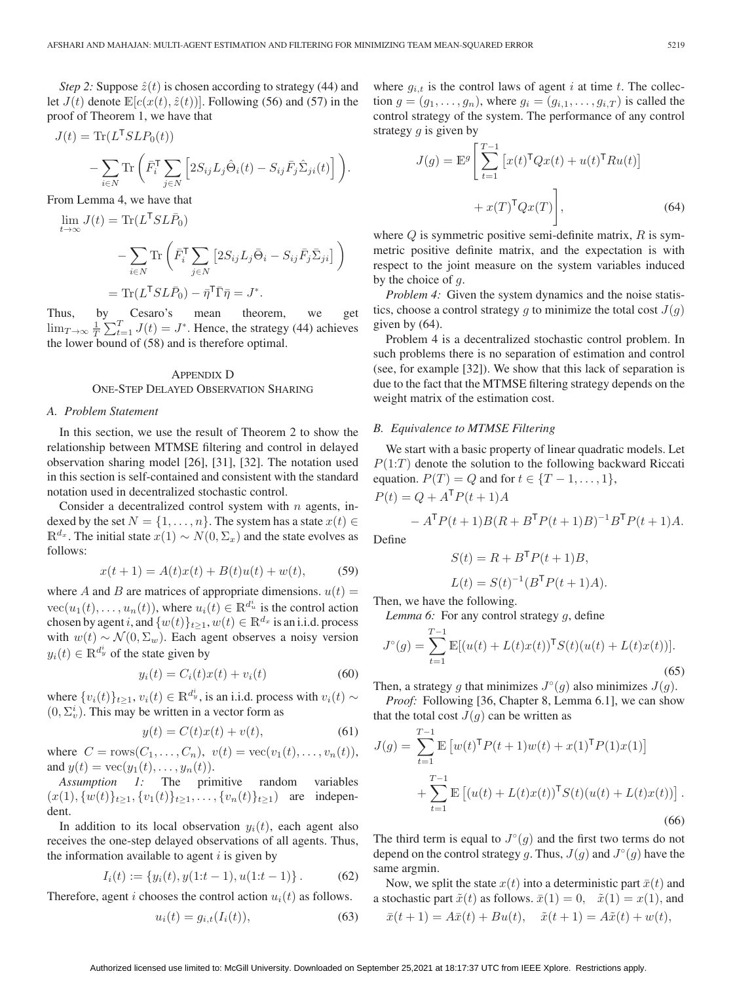*Step 2:* Suppose  $\hat{z}(t)$  is chosen according to strategy (44) and let  $J(t)$  denote  $\mathbb{E}[c(x(t), \hat{z}(t))]$ . Following (56) and (57) in the proof of Theorem 1, we have that

$$
J(t) = \text{Tr}(L^{\mathsf{T}} S L P_0(t))
$$

$$
- \sum_{i \in N} \text{Tr}\left(\bar{F}_i^{\mathsf{T}} \sum_{j \in N} \left[2S_{ij}L_j \hat{\Theta}_i(t) - S_{ij}\bar{F}_j \hat{\Sigma}_{ji}(t)\right]\right).
$$

From Lemma 4, we have that

$$
\lim_{t \to \infty} J(t) = \text{Tr}(L^{\mathsf{T}} SL\bar{P}_0)
$$

$$
- \sum_{i \in N} \text{Tr}\left(\bar{F}_i^{\mathsf{T}} \sum_{j \in N} \left[2S_{ij}L_j\bar{\Theta}_i - S_{ij}\bar{F}_j\bar{\Sigma}_{ji}\right]\right)
$$

$$
= \text{Tr}(L^{\mathsf{T}} SL\bar{P}_0) - \bar{\eta}^{\mathsf{T}}\bar{\Gamma}\bar{\eta} = J^*.
$$

Thus, by Cesaro's mean theorem, we get  $\lim_{T \to \infty} \frac{1}{T} \sum_{t=1}^{T} J(t) = J^*$ . Hence, the strategy (44) achieves the lower bound of (58) and is therefore optimal.

# APPENDIX D ONE-STEP DELAYED OBSERVATION SHARING

#### *A. Problem Statement*

In this section, we use the result of Theorem 2 to show the relationship between MTMSE filtering and control in delayed observation sharing model [26], [31], [32]. The notation used in this section is self-contained and consistent with the standard notation used in decentralized stochastic control.

Consider a decentralized control system with  $n$  agents, indexed by the set  $N = \{1, \ldots, n\}$ . The system has a state  $x(t) \in$  $\mathbb{R}^{d_x}$ . The initial state  $x(1) \sim N(0, \Sigma_x)$  and the state evolves as follows:

$$
x(t+1) = A(t)x(t) + B(t)u(t) + w(t),
$$
 (59)

where A and B are matrices of appropriate dimensions.  $u(t) =$  $\text{vec}(u_1(t),\ldots,u_n(t))$ , where  $u_i(t) \in \mathbb{R}^{d_u^i}$  is the control action chosen by agent i, and  $\{w(t)\}_{t\geq 1}$ ,  $w(t) \in \mathbb{R}^{d_x}$  is an i.i.d. process with  $w(t) \sim \mathcal{N}(0, \Sigma_w)$ . Each agent observes a noisy version  $y_i(t) \in \mathbb{R}^{d_y^i}$  of the state given by

$$
y_i(t) = C_i(t)x(t) + v_i(t)
$$
\n(60)

where  $\{v_i(t)\}_{t\geq 1}$ ,  $v_i(t) \in \mathbb{R}^{d_y^i}$ , is an i.i.d. process with  $v_i(t) \sim$  $(0, \Sigma_{v}^{i})$ . This may be written in a vector form as

$$
y(t) = C(t)x(t) + v(t), \tag{61}
$$

where  $C = \text{rows}(C_1, ..., C_n), v(t) = \text{vec}(v_1(t), ..., v_n(t)),$ and  $y(t) = \text{vec}(y_1(t),..., y_n(t)).$ 

*Assumption 1:* The primitive random variables  $(x(1), \{w(t)\}_{t\geq 1}, \{v_1(t)\}_{t\geq 1}, \ldots, \{v_n(t)\}_{t\geq 1})$  are independent.

In addition to its local observation  $y_i(t)$ , each agent also receives the one-step delayed observations of all agents. Thus, the information available to agent  $i$  is given by

$$
I_i(t) := \{ y_i(t), y(1:t-1), u(1:t-1) \}.
$$
 (62)

Therefore, agent i chooses the control action  $u_i(t)$  as follows.

$$
u_i(t) = g_{i,t}(I_i(t)),\tag{63}
$$

where  $g_{i,t}$  is the control laws of agent i at time t. The collection  $g = (g_1, \ldots, g_n)$ , where  $g_i = (g_{i,1}, \ldots, g_{i,T})$  is called the control strategy of the system. The performance of any control strategy  $q$  is given by

$$
J(g) = \mathbb{E}^g \left[ \sum_{t=1}^{T-1} \left[ x(t)^\mathsf{T} Q x(t) + u(t)^\mathsf{T} R u(t) \right] + x(T)^\mathsf{T} Q x(T) \right],\tag{64}
$$

where  $Q$  is symmetric positive semi-definite matrix,  $R$  is symmetric positive definite matrix, and the expectation is with respect to the joint measure on the system variables induced by the choice of  $q$ .

*Problem 4:* Given the system dynamics and the noise statistics, choose a control strategy g to minimize the total cost  $J(g)$ given by (64).

Problem 4 is a decentralized stochastic control problem. In such problems there is no separation of estimation and control (see, for example [32]). We show that this lack of separation is due to the fact that the MTMSE filtering strategy depends on the weight matrix of the estimation cost.

## *B. Equivalence to MTMSE Filtering*

We start with a basic property of linear quadratic models. Let  $P(1:T)$  denote the solution to the following backward Riccati equation.  $P(T) = Q$  and for  $t \in \{T-1, \ldots, 1\}$ ,

 $P(t) = Q + A^{\mathsf{T}} P(t+1) A$ 

$$
- A^{\mathsf{T}} P(t+1) B(R + B^{\mathsf{T}} P(t+1) B)^{-1} B^{\mathsf{T}} P(t+1) A.
$$

Define

$$
S(t) = R + BT P(t+1)B,
$$
  
\n
$$
L(t) = S(t)^{-1} (BT P(t+1)A).
$$

Then, we have the following.

*Lemma 6:* For any control strategy g, define

$$
J^{\circ}(g) = \sum_{t=1}^{T-1} \mathbb{E}[(u(t) + L(t)x(t))^\mathsf{T} S(t)(u(t) + L(t)x(t))].
$$
\n(65)

Then, a strategy g that minimizes  $J \circ (g)$  also minimizes  $J(g)$ .

*Proof:* Following [36, Chapter 8, Lemma 6.1], we can show that the total cost  $J(g)$  can be written as

$$
J(g) = \sum_{t=1}^{T-1} \mathbb{E} \left[ w(t)^{\mathsf{T}} P(t+1) w(t) + x(1)^{\mathsf{T}} P(1) x(1) \right] + \sum_{t=1}^{T-1} \mathbb{E} \left[ (u(t) + L(t) x(t))^{\mathsf{T}} S(t) (u(t) + L(t) x(t)) \right].
$$
\n(66)

The third term is equal to  $J<sup>\circ</sup>(g)$  and the first two terms do not depend on the control strategy g. Thus,  $J(q)$  and  $J^{\circ}(q)$  have the same argmin.

Now, we split the state  $x(t)$  into a deterministic part  $\bar{x}(t)$  and a stochastic part  $\tilde{x}(t)$  as follows.  $\bar{x}(1) = 0$ ,  $\tilde{x}(1) = x(1)$ , and  $\bar{x}(t+1) = A\bar{x}(t) + Bu(t), \quad \tilde{x}(t+1) = A\tilde{x}(t) + w(t),$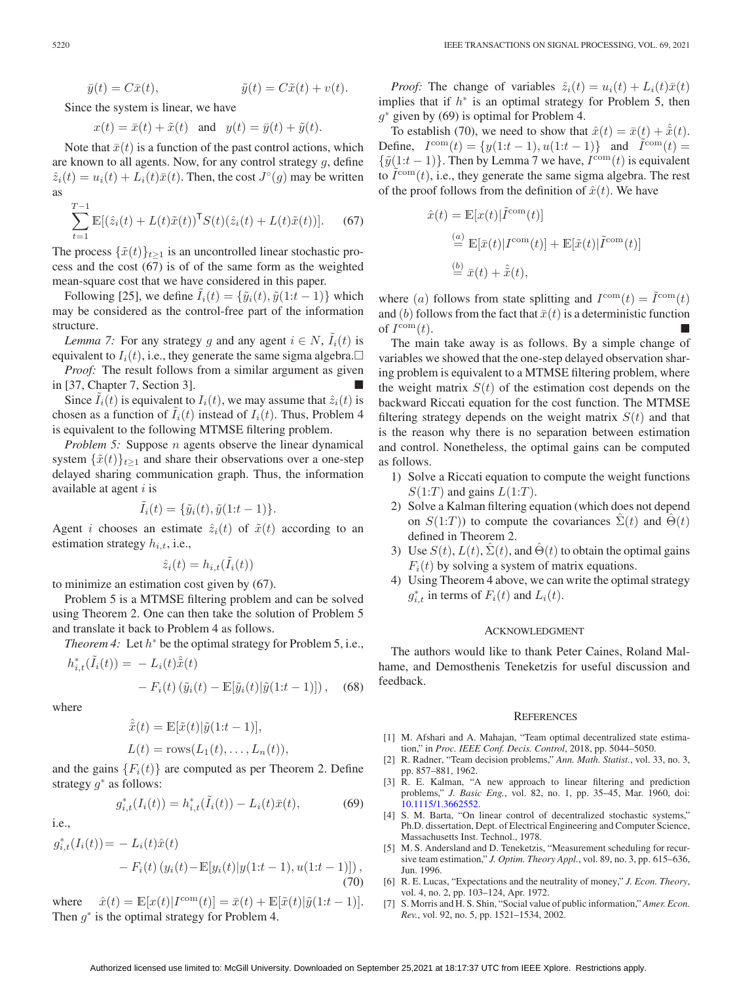$$
\bar{y}(t) = C\bar{x}(t), \qquad \qquad \tilde{y}(t) = C\tilde{x}(t) + v(t).
$$

Since the system is linear, we have

$$
x(t) = \bar{x}(t) + \tilde{x}(t) \quad \text{and} \quad y(t) = \bar{y}(t) + \tilde{y}(t).
$$

Note that  $\bar{x}(t)$  is a function of the past control actions, which are known to all agents. Now, for any control strategy g, define  $\hat{z}_i(t) = u_i(t) + L_i(t)\bar{x}(t)$ . Then, the cost  $J^\circ(g)$  may be written as

$$
\sum_{t=1}^{T-1} \mathbb{E}[(\hat{z}_i(t) + L(t)\tilde{x}(t))^{\mathsf{T}} S(t)(\hat{z}_i(t) + L(t)\tilde{x}(t))]. \tag{67}
$$

The process  $\{\tilde{x}(t)\}_{t\geq 1}$  is an uncontrolled linear stochastic process and the cost (67) is of of the same form as the weighted mean-square cost that we have considered in this paper.

Following [25], we define  $I_i(t) = {\tilde{y}_i(t), \tilde{y}(1:t-1)}$  which may be considered as the control-free part of the information structure.

*Lemma 7:* For any strategy g and any agent  $i \in N$ ,  $I_i(t)$  is equivalent to  $I_i(t)$ , i.e., they generate the same sigma algebra. $\Box$ 

*Proof:* The result follows from a similar argument as given in [37, Chapter 7, Section 3].

Since  $\tilde{I}_i(t)$  is equivalent to  $I_i(t)$ , we may assume that  $\hat{z}_i(t)$  is chosen as a function of  $\tilde{I}_i(t)$  instead of  $I_i(t)$ . Thus, Problem 4 is equivalent to the following MTMSE filtering problem.

*Problem 5:* Suppose *n* agents observe the linear dynamical system  $\{\tilde{x}(t)\}_{t\geq 1}$  and share their observations over a one-step delayed sharing communication graph. Thus, the information available at agent  $i$  is

$$
\tilde{I}_i(t) = \{\tilde{y}_i(t), \tilde{y}(1:t-1)\}.
$$

Agent *i* chooses an estimate  $\hat{z}_i(t)$  of  $\tilde{x}(t)$  according to an estimation strategy  $h_{i,t}$ , i.e.,

$$
\hat{z}_i(t) = h_{i,t}(\tilde{I}_i(t))
$$

to minimize an estimation cost given by (67).

Problem 5 is a MTMSE filtering problem and can be solved using Theorem 2. One can then take the solution of Problem 5 and translate it back to Problem 4 as follows.

*Theorem 4:* Let  $h^*$  be the optimal strategy for Problem 5, i.e.,

$$
h_{i,t}^*(\tilde{I}_i(t)) = -L_i(t)\hat{\tilde{x}}(t)
$$

$$
-F_i(t)(\tilde{y}_i(t) - \mathbb{E}[\tilde{y}_i(t)|\tilde{y}(1:t-1)]), \quad (68)
$$

where

$$
\hat{\tilde{x}}(t) = \mathbb{E}[\tilde{x}(t)|\tilde{y}(1:t-1)],
$$
  

$$
L(t) = \text{rows}(L_1(t), \dots, L_n(t)),
$$

and the gains  ${F_i(t)}$  are computed as per Theorem 2. Define strategy  $g^*$  as follows:

$$
g_{i,t}^*(I_i(t)) = h_{i,t}^*(\tilde{I}_i(t)) - L_i(t)\bar{x}(t),
$$
\n(69)

i.e.,

$$
g_{i,t}^*(I_i(t)) = - L_i(t)\hat{x}(t)
$$
  
- F\_i(t) (y\_i(t) - E[y\_i(t)|y(1:t-1), u(1:t-1)]) , (70)

where  $\hat{x}(t) = \mathbb{E}[x(t)|I^{\text{com}}(t)] = \bar{x}(t) + \mathbb{E}[\tilde{x}(t)|\tilde{y}(1:t-1)].$ Then  $g^*$  is the optimal strategy for Problem 4.

*Proof:* The change of variables  $\hat{z}_i(t) = u_i(t) + L_i(t)\bar{x}(t)$ implies that if  $h^*$  is an optimal strategy for Problem 5, then  $g^*$  given by (69) is optimal for Problem 4.

To establish (70), we need to show that  $\hat{x}(t)=\bar{x}(t) + \hat{\tilde{x}}(t)$ . Define,  $I^{\text{com}}(t) = \{y(1:t-1), u(1:t-1)\}\$ and  $\tilde{I}^{\text{com}}(t) =$  $\{\tilde{y}(1:t-1)\}\.$  Then by Lemma 7 we have,  $I^{\text{com}}(t)$  is equivalent to  $\tilde{I}^{\text{com}}(t)$ , i.e., they generate the same sigma algebra. The rest of the proof follows from the definition of  $\hat{x}(t)$ . We have

$$
\hat{x}(t) = \mathbb{E}[x(t)|\tilde{I}^{\text{com}}(t)]
$$
  
\n
$$
\stackrel{(a)}{=} \mathbb{E}[\bar{x}(t)|I^{\text{com}}(t)] + \mathbb{E}[\tilde{x}(t)|\tilde{I}^{\text{com}}(t)]
$$
  
\n
$$
\stackrel{(b)}{=} \bar{x}(t) + \hat{\bar{x}}(t),
$$

where (a) follows from state splitting and  $I^{\text{com}}(t) = \tilde{I}^{\text{com}}(t)$ and (b) follows from the fact that  $\bar{x}(t)$  is a deterministic function of  $I^{\text{com}}(t)$ .

The main take away is as follows. By a simple change of variables we showed that the one-step delayed observation sharing problem is equivalent to a MTMSE filtering problem, where the weight matrix  $S(t)$  of the estimation cost depends on the backward Riccati equation for the cost function. The MTMSE filtering strategy depends on the weight matrix  $S(t)$  and that is the reason why there is no separation between estimation and control. Nonetheless, the optimal gains can be computed as follows.

- 1) Solve a Riccati equation to compute the weight functions  $S(1:T)$  and gains  $L(1:T)$ .
- 2) Solve a Kalman filtering equation (which does not depend on  $S(1:T)$ ) to compute the covariances  $\Sigma(t)$  and  $\Theta(t)$ defined in Theorem 2.
- 3) Use  $S(t)$ ,  $L(t)$ ,  $\hat{\Sigma}(t)$ , and  $\hat{\Theta}(t)$  to obtain the optimal gains  $F_i(t)$  by solving a system of matrix equations.
- 4) Using Theorem 4 above, we can write the optimal strategy  $g_{i,t}^*$  in terms of  $F_i(t)$  and  $L_i(t)$ .

#### ACKNOWLEDGMENT

The authors would like to thank Peter Caines, Roland Malhame, and Demosthenis Teneketzis for useful discussion and feedback.

#### **REFERENCES**

- [1] M. Afshari and A. Mahajan, "Team optimal decentralized state estimation," in *Proc. IEEE Conf. Decis. Control*, 2018, pp. 5044–5050.
- [2] R. Radner, "Team decision problems," *Ann. Math. Statist.*, vol. 33, no. 3, pp. 857–881, 1962.
- [3] R. E. Kalman, "A new approach to linear filtering and prediction problems," *J. Basic Eng.*, vol. 82, no. 1, pp. 35–45, Mar. 1960, doi: [10.1115/1.3662552.](https://dx.doi.org/10.1115/1.3662552)
- [4] S. M. Barta, "On linear control of decentralized stochastic systems," Ph.D. dissertation, Dept. of Electrical Engineering and Computer Science, Massachusetts Inst. Technol., 1978.
- [5] M. S. Andersland and D. Teneketzis, "Measurement scheduling for recursive team estimation," *J. Optim. Theory Appl.*, vol. 89, no. 3, pp. 615–636, Jun. 1996.
- [6] R. E. Lucas, "Expectations and the neutrality of money," *J. Econ. Theory*, vol. 4, no. 2, pp. 103–124, Apr. 1972.
- [7] S. Morris and H. S. Shin, "Social value of public information," *Amer. Econ. Rev.*, vol. 92, no. 5, pp. 1521–1534, 2002.